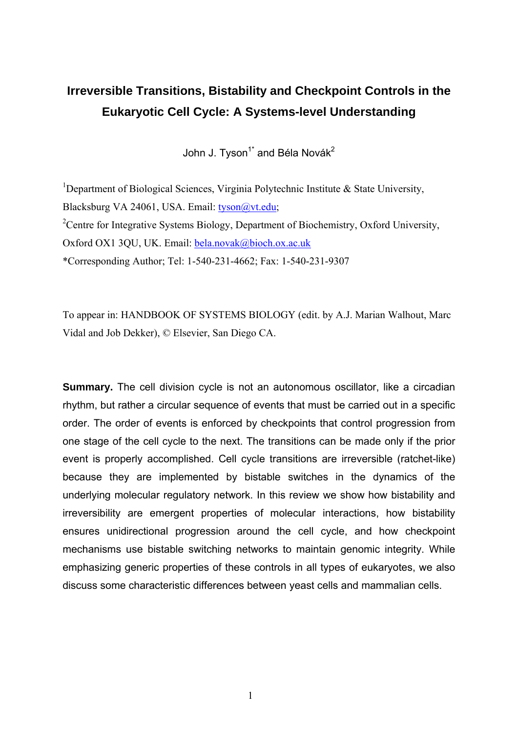# **Irreversible Transitions, Bistability and Checkpoint Controls in the Eukaryotic Cell Cycle: A Systems-level Understanding**

John J. Tyson<sup>1\*</sup> and Béla Novák<sup>2</sup>

<sup>1</sup>Department of Biological Sciences, Virginia Polytechnic Institute & State University, Blacksburg VA 24061, USA. Email: tyson@vt.edu; <sup>2</sup> Centre for Integrative Systems Biology, Department of Biochemistry, Oxford University, Oxford OX1 3QU, UK. Email: bela.novak@bioch.ox.ac.uk \*Corresponding Author; Tel: 1-540-231-4662; Fax: 1-540-231-9307

To appear in: HANDBOOK OF SYSTEMS BIOLOGY (edit. by A.J. Marian Walhout, Marc Vidal and Job Dekker), © Elsevier, San Diego CA.

**Summary.** The cell division cycle is not an autonomous oscillator, like a circadian rhythm, but rather a circular sequence of events that must be carried out in a specific order. The order of events is enforced by checkpoints that control progression from one stage of the cell cycle to the next. The transitions can be made only if the prior event is properly accomplished. Cell cycle transitions are irreversible (ratchet-like) because they are implemented by bistable switches in the dynamics of the underlying molecular regulatory network. In this review we show how bistability and irreversibility are emergent properties of molecular interactions, how bistability ensures unidirectional progression around the cell cycle, and how checkpoint mechanisms use bistable switching networks to maintain genomic integrity. While emphasizing generic properties of these controls in all types of eukaryotes, we also discuss some characteristic differences between yeast cells and mammalian cells.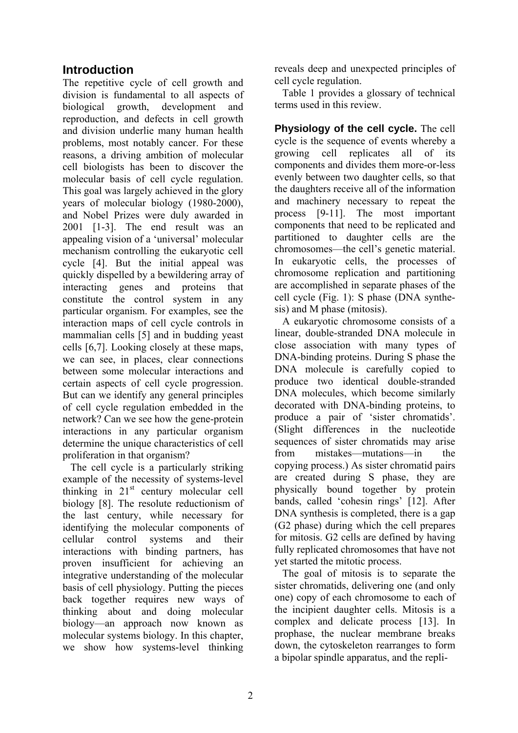## **Introduction**

The repetitive cycle of cell growth and division is fundamental to all aspects of biological growth, development and reproduction, and defects in cell growth and division underlie many human health problems, most notably cancer. For these reasons, a driving ambition of molecular cell biologists has been to discover the molecular basis of cell cycle regulation. This goal was largely achieved in the glory years of molecular biology (1980-2000), and Nobel Prizes were duly awarded in 2001 [1-3]. The end result was an appealing vision of a 'universal' molecular mechanism controlling the eukaryotic cell cycle [4]. But the initial appeal was quickly dispelled by a bewildering array of interacting genes and proteins that constitute the control system in any particular organism. For examples, see the interaction maps of cell cycle controls in mammalian cells [5] and in budding yeast cells [6,7]. Looking closely at these maps, we can see, in places, clear connections between some molecular interactions and certain aspects of cell cycle progression. But can we identify any general principles of cell cycle regulation embedded in the network? Can we see how the gene-protein interactions in any particular organism determine the unique characteristics of cell proliferation in that organism?

 The cell cycle is a particularly striking example of the necessity of systems-level thinking in  $21<sup>st</sup>$  century molecular cell biology [8]. The resolute reductionism of the last century, while necessary for identifying the molecular components of cellular control systems and their interactions with binding partners, has proven insufficient for achieving an integrative understanding of the molecular basis of cell physiology. Putting the pieces back together requires new ways of thinking about and doing molecular biology—an approach now known as molecular systems biology. In this chapter, we show how systems-level thinking

reveals deep and unexpected principles of cell cycle regulation.

 Table 1 provides a glossary of technical terms used in this review.

**Physiology of the cell cycle.** The cell cycle is the sequence of events whereby a growing cell replicates all of its components and divides them more-or-less evenly between two daughter cells, so that the daughters receive all of the information and machinery necessary to repeat the process [9-11]. The most important components that need to be replicated and partitioned to daughter cells are the chromosomes—the cell's genetic material. In eukaryotic cells, the processes of chromosome replication and partitioning are accomplished in separate phases of the cell cycle (Fig. 1): S phase (DNA synthesis) and M phase (mitosis).

 A eukaryotic chromosome consists of a linear, double-stranded DNA molecule in close association with many types of DNA-binding proteins. During S phase the DNA molecule is carefully copied to produce two identical double-stranded DNA molecules, which become similarly decorated with DNA-binding proteins, to produce a pair of 'sister chromatids'. (Slight differences in the nucleotide sequences of sister chromatids may arise from mistakes—mutations—in the copying process.) As sister chromatid pairs are created during S phase, they are physically bound together by protein bands, called 'cohesin rings' [12]. After DNA synthesis is completed, there is a gap (G2 phase) during which the cell prepares for mitosis. G2 cells are defined by having fully replicated chromosomes that have not yet started the mitotic process.

 The goal of mitosis is to separate the sister chromatids, delivering one (and only one) copy of each chromosome to each of the incipient daughter cells. Mitosis is a complex and delicate process [13]. In prophase, the nuclear membrane breaks down, the cytoskeleton rearranges to form a bipolar spindle apparatus, and the repli-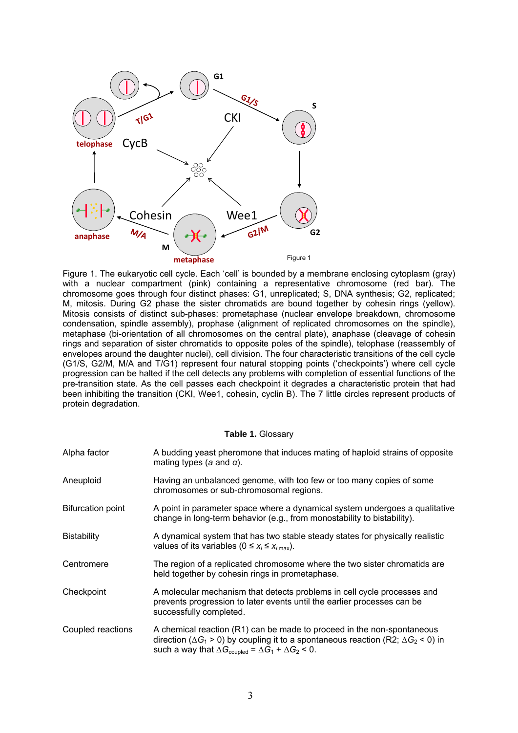

Figure 1. The eukaryotic cell cycle. Each 'cell' is bounded by a membrane enclosing cytoplasm (gray) with a nuclear compartment (pink) containing a representative chromosome (red bar). The chromosome goes through four distinct phases: G1, unreplicated; S, DNA synthesis; G2, replicated; M, mitosis. During G2 phase the sister chromatids are bound together by cohesin rings (yellow). Mitosis consists of distinct sub-phases: prometaphase (nuclear envelope breakdown, chromosome condensation, spindle assembly), prophase (alignment of replicated chromosomes on the spindle), metaphase (bi-orientation of all chromosomes on the central plate), anaphase (cleavage of cohesin rings and separation of sister chromatids to opposite poles of the spindle), telophase (reassembly of envelopes around the daughter nuclei), cell division. The four characteristic transitions of the cell cycle (G1/S, G2/M, M/A and T/G1) represent four natural stopping points ('checkpoints') where cell cycle progression can be halted if the cell detects any problems with completion of essential functions of the pre-transition state. As the cell passes each checkpoint it degrades a characteristic protein that had been inhibiting the transition (CKI, Wee1, cohesin, cyclin B). The 7 little circles represent products of protein degradation.

| Table 1. Glossary |
|-------------------|
|-------------------|

| Alpha factor             | A budding yeast pheromone that induces mating of haploid strains of opposite<br>mating types (a and $\alpha$ ).                                                                                                                                           |
|--------------------------|-----------------------------------------------------------------------------------------------------------------------------------------------------------------------------------------------------------------------------------------------------------|
| Aneuploid                | Having an unbalanced genome, with too few or too many copies of some<br>chromosomes or sub-chromosomal regions.                                                                                                                                           |
| <b>Bifurcation point</b> | A point in parameter space where a dynamical system undergoes a qualitative<br>change in long-term behavior (e.g., from monostability to bistability).                                                                                                    |
| <b>Bistability</b>       | A dynamical system that has two stable steady states for physically realistic<br>values of its variables ( $0 \le x_i \le x_{i, \text{max}}$ ).                                                                                                           |
| Centromere               | The region of a replicated chromosome where the two sister chromatids are<br>held together by cohesin rings in prometaphase.                                                                                                                              |
| Checkpoint               | A molecular mechanism that detects problems in cell cycle processes and<br>prevents progression to later events until the earlier processes can be<br>successfully completed.                                                                             |
| Coupled reactions        | A chemical reaction (R1) can be made to proceed in the non-spontaneous<br>direction ( $\Delta G_1$ > 0) by coupling it to a spontaneous reaction (R2; $\Delta G_2$ < 0) in<br>such a way that $\Delta G_{\text{coupled}} = \Delta G_1 + \Delta G_2 < 0$ . |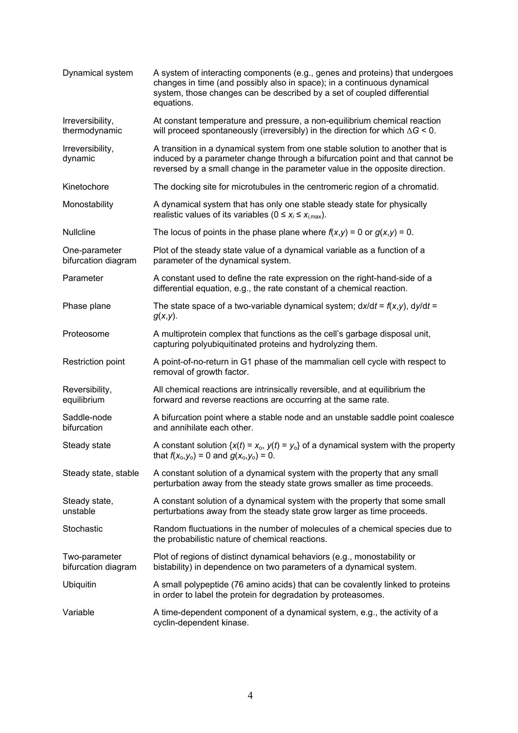| Dynamical system                     | A system of interacting components (e.g., genes and proteins) that undergoes<br>changes in time (and possibly also in space); in a continuous dynamical<br>system, those changes can be described by a set of coupled differential<br>equations. |
|--------------------------------------|--------------------------------------------------------------------------------------------------------------------------------------------------------------------------------------------------------------------------------------------------|
| Irreversibility,<br>thermodynamic    | At constant temperature and pressure, a non-equilibrium chemical reaction<br>will proceed spontaneously (irreversibly) in the direction for which $\Delta G$ < 0.                                                                                |
| Irreversibility,<br>dynamic          | A transition in a dynamical system from one stable solution to another that is<br>induced by a parameter change through a bifurcation point and that cannot be<br>reversed by a small change in the parameter value in the opposite direction.   |
| Kinetochore                          | The docking site for microtubules in the centromeric region of a chromatid.                                                                                                                                                                      |
| Monostability                        | A dynamical system that has only one stable steady state for physically<br>realistic values of its variables ( $0 \le x_i \le x_{i, \text{max}}$ ).                                                                                              |
| <b>Nullcline</b>                     | The locus of points in the phase plane where $f(x,y) = 0$ or $g(x,y) = 0$ .                                                                                                                                                                      |
| One-parameter<br>bifurcation diagram | Plot of the steady state value of a dynamical variable as a function of a<br>parameter of the dynamical system.                                                                                                                                  |
| Parameter                            | A constant used to define the rate expression on the right-hand-side of a<br>differential equation, e.g., the rate constant of a chemical reaction.                                                                                              |
| Phase plane                          | The state space of a two-variable dynamical system; $dx/dt = f(x,y)$ , $dy/dt =$<br>$g(x,y)$ .                                                                                                                                                   |
| Proteosome                           | A multiprotein complex that functions as the cell's garbage disposal unit,<br>capturing polyubiquitinated proteins and hydrolyzing them.                                                                                                         |
| Restriction point                    | A point-of-no-return in G1 phase of the mammalian cell cycle with respect to<br>removal of growth factor.                                                                                                                                        |
| Reversibility,<br>equilibrium        | All chemical reactions are intrinsically reversible, and at equilibrium the<br>forward and reverse reactions are occurring at the same rate.                                                                                                     |
| Saddle-node<br>bifurcation           | A bifurcation point where a stable node and an unstable saddle point coalesce<br>and annihilate each other.                                                                                                                                      |
| Steady state                         | A constant solution $\{x(t) = x_0, y(t) = y_0\}$ of a dynamical system with the property<br>that $f(x_0, y_0) = 0$ and $g(x_0, y_0) = 0$ .                                                                                                       |
| Steady state, stable                 | A constant solution of a dynamical system with the property that any small<br>perturbation away from the steady state grows smaller as time proceeds.                                                                                            |
| Steady state,<br>unstable            | A constant solution of a dynamical system with the property that some small<br>perturbations away from the steady state grow larger as time proceeds.                                                                                            |
| Stochastic                           | Random fluctuations in the number of molecules of a chemical species due to<br>the probabilistic nature of chemical reactions.                                                                                                                   |
| Two-parameter<br>bifurcation diagram | Plot of regions of distinct dynamical behaviors (e.g., monostability or<br>bistability) in dependence on two parameters of a dynamical system.                                                                                                   |
| <b>Ubiquitin</b>                     | A small polypeptide (76 amino acids) that can be covalently linked to proteins<br>in order to label the protein for degradation by proteasomes.                                                                                                  |
| Variable                             | A time-dependent component of a dynamical system, e.g., the activity of a<br>cyclin-dependent kinase.                                                                                                                                            |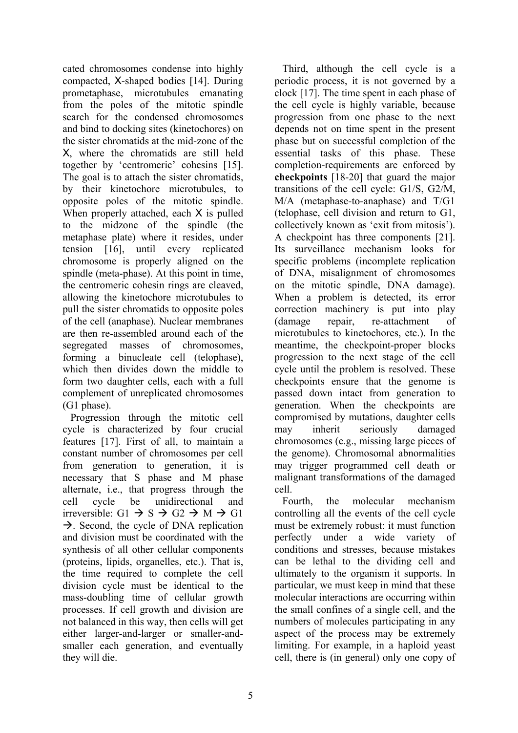cated chromosomes condense into highly compacted, X-shaped bodies [14]. During prometaphase, microtubules emanating from the poles of the mitotic spindle search for the condensed chromosomes and bind to docking sites (kinetochores) on the sister chromatids at the mid-zone of the X, where the chromatids are still held together by 'centromeric' cohesins [15]. The goal is to attach the sister chromatids, by their kinetochore microtubules, to opposite poles of the mitotic spindle. When properly attached, each X is pulled to the midzone of the spindle (the metaphase plate) where it resides, under tension [16], until every replicated chromosome is properly aligned on the spindle (meta-phase). At this point in time, the centromeric cohesin rings are cleaved, allowing the kinetochore microtubules to pull the sister chromatids to opposite poles of the cell (anaphase). Nuclear membranes are then re-assembled around each of the segregated masses of chromosomes, forming a binucleate cell (telophase), which then divides down the middle to form two daughter cells, each with a full complement of unreplicated chromosomes (G1 phase).

 Progression through the mitotic cell cycle is characterized by four crucial features [17]. First of all, to maintain a constant number of chromosomes per cell from generation to generation, it is necessary that S phase and M phase alternate, i.e., that progress through the cell cycle be unidirectional and irreversible: G1  $\rightarrow$  S  $\rightarrow$  G2  $\rightarrow$  M  $\rightarrow$  G1  $\rightarrow$ . Second, the cycle of DNA replication and division must be coordinated with the synthesis of all other cellular components (proteins, lipids, organelles, etc.). That is, the time required to complete the cell division cycle must be identical to the mass-doubling time of cellular growth processes. If cell growth and division are not balanced in this way, then cells will get either larger-and-larger or smaller-andsmaller each generation, and eventually they will die.

 Third, although the cell cycle is a periodic process, it is not governed by a clock [17]. The time spent in each phase of the cell cycle is highly variable, because progression from one phase to the next depends not on time spent in the present phase but on successful completion of the essential tasks of this phase. These completion-requirements are enforced by **checkpoints** [18-20] that guard the major transitions of the cell cycle: G1/S, G2/M, M/A (metaphase-to-anaphase) and T/G1 (telophase, cell division and return to G1, collectively known as 'exit from mitosis'). A checkpoint has three components [21]. Its surveillance mechanism looks for specific problems (incomplete replication of DNA, misalignment of chromosomes on the mitotic spindle, DNA damage). When a problem is detected, its error correction machinery is put into play (damage repair, re-attachment of microtubules to kinetochores, etc.). In the meantime, the checkpoint-proper blocks progression to the next stage of the cell cycle until the problem is resolved. These checkpoints ensure that the genome is passed down intact from generation to generation. When the checkpoints are compromised by mutations, daughter cells may inherit seriously damaged chromosomes (e.g., missing large pieces of the genome). Chromosomal abnormalities may trigger programmed cell death or malignant transformations of the damaged cell.

 Fourth, the molecular mechanism controlling all the events of the cell cycle must be extremely robust: it must function perfectly under a wide variety of conditions and stresses, because mistakes can be lethal to the dividing cell and ultimately to the organism it supports. In particular, we must keep in mind that these molecular interactions are occurring within the small confines of a single cell, and the numbers of molecules participating in any aspect of the process may be extremely limiting. For example, in a haploid yeast cell, there is (in general) only one copy of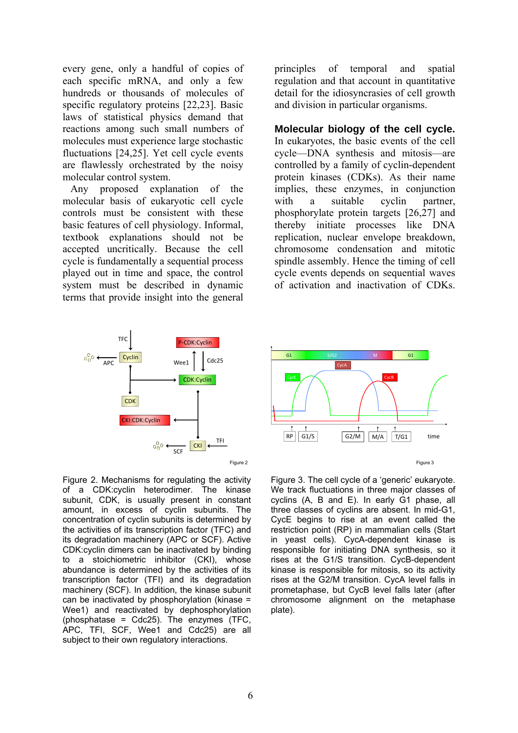every gene, only a handful of copies of each specific mRNA, and only a few hundreds or thousands of molecules of specific regulatory proteins [22,23]. Basic laws of statistical physics demand that reactions among such small numbers of molecules must experience large stochastic fluctuations [24,25]. Yet cell cycle events are flawlessly orchestrated by the noisy molecular control system.

 Any proposed explanation of the molecular basis of eukaryotic cell cycle controls must be consistent with these basic features of cell physiology. Informal, textbook explanations should not be accepted uncritically. Because the cell cycle is fundamentally a sequential process played out in time and space, the control system must be described in dynamic terms that provide insight into the general



Figure 2. Mechanisms for regulating the activity of a CDK:cyclin heterodimer. The kinase subunit, CDK, is usually present in constant amount, in excess of cyclin subunits. The concentration of cyclin subunits is determined by the activities of its transcription factor (TFC) and its degradation machinery (APC or SCF). Active CDK:cyclin dimers can be inactivated by binding to a stoichiometric inhibitor (CKI), whose abundance is determined by the activities of its transcription factor (TFI) and its degradation machinery (SCF). In addition, the kinase subunit can be inactivated by phosphorylation (kinase = Wee1) and reactivated by dephosphorylation (phosphatase =  $Cdc25$ ). The enzymes (TFC, APC, TFI, SCF, Wee1 and Cdc25) are all subject to their own regulatory interactions.

principles of temporal and spatial regulation and that account in quantitative detail for the idiosyncrasies of cell growth and division in particular organisms.

### **Molecular biology of the cell cycle.**

In eukaryotes, the basic events of the cell cycle—DNA synthesis and mitosis—are controlled by a family of cyclin-dependent protein kinases (CDKs). As their name implies, these enzymes, in conjunction with a suitable cyclin partner, phosphorylate protein targets [26,27] and thereby initiate processes like DNA replication, nuclear envelope breakdown, chromosome condensation and mitotic spindle assembly. Hence the timing of cell cycle events depends on sequential waves of activation and inactivation of CDKs.



 Figure 3. The cell cycle of a 'generic' eukaryote. We track fluctuations in three major classes of cyclins (A, B and E). In early G1 phase, all three classes of cyclins are absent. In mid-G1, CycE begins to rise at an event called the restriction point (RP) in mammalian cells (Start in yeast cells). CycA-dependent kinase is responsible for initiating DNA synthesis, so it rises at the G1/S transition. CycB-dependent kinase is responsible for mitosis, so its activity rises at the G2/M transition. CycA level falls in prometaphase, but CycB level falls later (after chromosome alignment on the metaphase plate).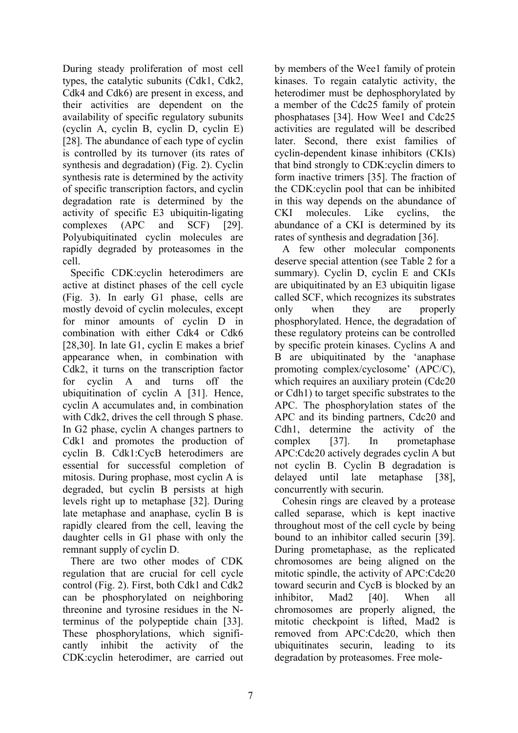During steady proliferation of most cell types, the catalytic subunits (Cdk1, Cdk2, Cdk4 and Cdk6) are present in excess, and their activities are dependent on the availability of specific regulatory subunits (cyclin A, cyclin B, cyclin D, cyclin E) [28]. The abundance of each type of cyclin is controlled by its turnover (its rates of synthesis and degradation) (Fig. 2). Cyclin synthesis rate is determined by the activity of specific transcription factors, and cyclin degradation rate is determined by the activity of specific E3 ubiquitin-ligating complexes (APC and SCF) [29]. Polyubiquitinated cyclin molecules are rapidly degraded by proteasomes in the cell.

 Specific CDK:cyclin heterodimers are active at distinct phases of the cell cycle (Fig. 3). In early G1 phase, cells are mostly devoid of cyclin molecules, except for minor amounts of cyclin D in combination with either Cdk4 or Cdk6 [28,30]. In late G1, cyclin E makes a brief appearance when, in combination with Cdk2, it turns on the transcription factor for cyclin A and turns off the ubiquitination of cyclin A [31]. Hence, cyclin A accumulates and, in combination with Cdk2, drives the cell through S phase. In G2 phase, cyclin A changes partners to Cdk1 and promotes the production of cyclin B. Cdk1:CycB heterodimers are essential for successful completion of mitosis. During prophase, most cyclin A is degraded, but cyclin B persists at high levels right up to metaphase [32]. During late metaphase and anaphase, cyclin B is rapidly cleared from the cell, leaving the daughter cells in G1 phase with only the remnant supply of cyclin D.

 There are two other modes of CDK regulation that are crucial for cell cycle control (Fig. 2). First, both Cdk1 and Cdk2 can be phosphorylated on neighboring threonine and tyrosine residues in the Nterminus of the polypeptide chain [33]. These phosphorylations, which significantly inhibit the activity of the CDK:cyclin heterodimer, are carried out by members of the Wee1 family of protein kinases. To regain catalytic activity, the heterodimer must be dephosphorylated by a member of the Cdc25 family of protein phosphatases [34]. How Wee1 and Cdc25 activities are regulated will be described later. Second, there exist families of cyclin-dependent kinase inhibitors (CKIs) that bind strongly to CDK:cyclin dimers to form inactive trimers [35]. The fraction of the CDK:cyclin pool that can be inhibited in this way depends on the abundance of CKI molecules. Like cyclins, the abundance of a CKI is determined by its rates of synthesis and degradation [36].

 A few other molecular components deserve special attention (see Table 2 for a summary). Cyclin D, cyclin E and CKIs are ubiquitinated by an E3 ubiquitin ligase called SCF, which recognizes its substrates only when they are properly phosphorylated. Hence, the degradation of these regulatory proteins can be controlled by specific protein kinases. Cyclins A and B are ubiquitinated by the 'anaphase promoting complex/cyclosome' (APC/C), which requires an auxiliary protein (Cdc20) or Cdh1) to target specific substrates to the APC. The phosphorylation states of the APC and its binding partners, Cdc20 and Cdh1, determine the activity of the complex [37]. In prometaphase APC:Cdc20 actively degrades cyclin A but not cyclin B. Cyclin B degradation is delayed until late metaphase [38], concurrently with securin.

 Cohesin rings are cleaved by a protease called separase, which is kept inactive throughout most of the cell cycle by being bound to an inhibitor called securin [39]. During prometaphase, as the replicated chromosomes are being aligned on the mitotic spindle, the activity of APC:Cdc20 toward securin and CycB is blocked by an inhibitor. Mad2 [40]. When all chromosomes are properly aligned, the mitotic checkpoint is lifted, Mad2 is removed from APC:Cdc20, which then ubiquitinates securin, leading to its degradation by proteasomes. Free mole-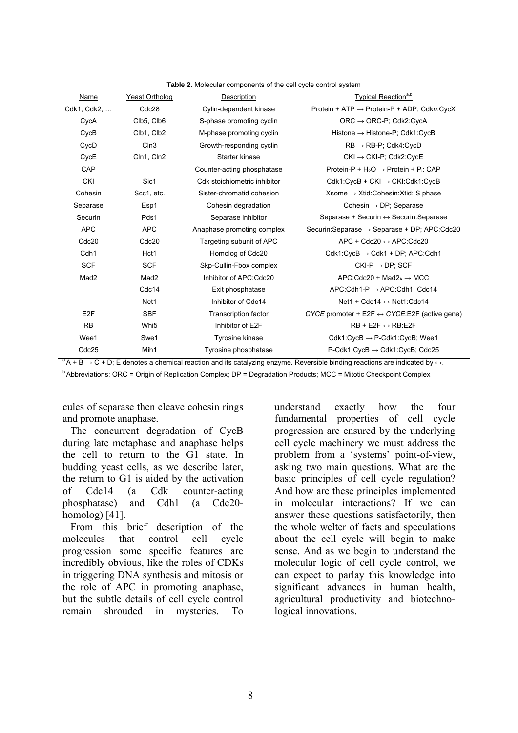| Name              | Yeast Ortholog   | Description                  | <b>Typical Reaction</b> <sup>a,b</sup>                           |
|-------------------|------------------|------------------------------|------------------------------------------------------------------|
| Cdk1, Cdk2,       | Cdc28            | Cylin-dependent kinase       | Protein + ATP $\rightarrow$ Protein-P + ADP; Cdkn:CycX           |
| CycA              | Clb5, Clb6       | S-phase promoting cyclin     | $ORC \rightarrow ORC-P$ ; Cdk2:CycA                              |
| CycB              | Clb1, Clb2       | M-phase promoting cyclin     | Histone $\rightarrow$ Histone-P; Cdk1:CycB                       |
| CycD              | CIn3             | Growth-responding cyclin     | $RB \rightarrow RB-P$ ; Cdk4:CycD                                |
| CycE              | Cln1, Cln2       | Starter kinase               | $CKI \rightarrow CKI-P$ ; Cdk2:CycE                              |
| CAP               |                  | Counter-acting phosphatase   | Protein-P + $H_2O \rightarrow$ Protein + P <sub>i</sub> : CAP    |
| <b>CKI</b>        | Sic1             | Cdk stoichiometric inhibitor | $Cdk1:CycB + CKI \rightarrow CKI:Cdk1:CycB$                      |
| Cohesin           | Scc1, etc.       | Sister-chromatid cohesion    | $X$ some $\rightarrow$ Xtid: Cohesin: Xtid: S phase              |
| Separase          | Esp1             | Cohesin degradation          | Cohesin $\rightarrow$ DP; Separase                               |
| Securin           | Pds1             | Separase inhibitor           | Separase + Securin $\leftrightarrow$ Securin: Separase           |
| <b>APC</b>        | <b>APC</b>       | Anaphase promoting complex   | Securin: Separase $\rightarrow$ Separase + DP; APC: Cdc20        |
| Cdc20             | Cdc20            | Targeting subunit of APC     | $APC + Cdc20 \leftrightarrow APC: Cdc20$                         |
| Cdh1              | Hct1             | Homolog of Cdc20             | Cdk1:CycB $\rightarrow$ Cdk1 + DP; APC:Cdh1                      |
| <b>SCF</b>        | <b>SCF</b>       | Skp-Cullin-Fbox complex      | $CKI-P \rightarrow DP$ : SCF                                     |
| Mad <sub>2</sub>  | Mad2             | Inhibitor of APC: Cdc20      | $APC: Cdc20 + Mad2_A \rightarrow MCC$                            |
|                   | Cdc14            | Exit phosphatase             | $APC:Cdh1-P \rightarrow APC:Cdh1$ ; Cdc14                        |
|                   | Net1             | Inhibitor of Cdc14           | Net1 + Cdc14 $\leftrightarrow$ Net1:Cdc14                        |
| E <sub>2F</sub>   | <b>SBF</b>       | <b>Transcription factor</b>  | CYCE promoter + E2F $\leftrightarrow$ CYCE:E2F (active gene)     |
| <b>RB</b>         | Whi <sub>5</sub> | Inhibitor of E2F             | $RB + E2F \leftrightarrow RB:E2F$                                |
| Wee1              | Swe1             | Tyrosine kinase              | Cdk1:CycB $\rightarrow$ P-Cdk1:CycB; Wee1                        |
| Cdc <sub>25</sub> | Mih1             | Tyrosine phosphatase         | $P\text{-}Cdk1:\text{CycB} \rightarrow Cdk1:\text{CycB}$ ; Cdc25 |

**Table 2.** Molecular components of the cell cycle control system

 $^{\text{a}}$  A + B  $\rightarrow$  C + D; E denotes a chemical reaction and its catalyzing enzyme. Reversible binding reactions are indicated by  $\leftrightarrow$ .

 $b$  Abbreviations: ORC = Origin of Replication Complex; DP = Degradation Products; MCC = Mitotic Checkpoint Complex

cules of separase then cleave cohesin rings and promote anaphase.

 The concurrent degradation of CycB during late metaphase and anaphase helps the cell to return to the G1 state. In budding yeast cells, as we describe later, the return to G1 is aided by the activation of Cdc14 (a Cdk counter-acting phosphatase) and Cdh1 (a Cdc20 homolog) [41].

 From this brief description of the molecules that control cell cycle progression some specific features are incredibly obvious, like the roles of CDKs in triggering DNA synthesis and mitosis or the role of APC in promoting anaphase, but the subtle details of cell cycle control remain shrouded in mysteries. To understand exactly how the four fundamental properties of cell cycle progression are ensured by the underlying cell cycle machinery we must address the problem from a 'systems' point-of-view, asking two main questions. What are the basic principles of cell cycle regulation? And how are these principles implemented in molecular interactions? If we can answer these questions satisfactorily, then the whole welter of facts and speculations about the cell cycle will begin to make sense. And as we begin to understand the molecular logic of cell cycle control, we can expect to parlay this knowledge into significant advances in human health, agricultural productivity and biotechnological innovations.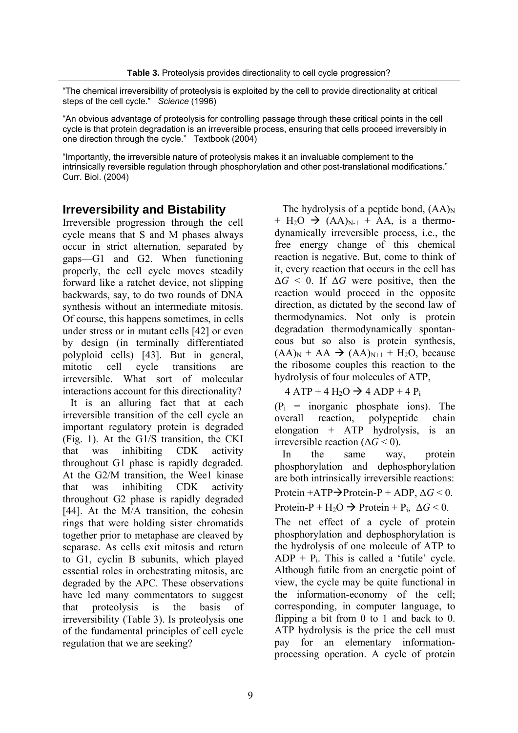"The chemical irreversibility of proteolysis is exploited by the cell to provide directionality at critical steps of the cell cycle." *Science* (1996)

"An obvious advantage of proteolysis for controlling passage through these critical points in the cell cycle is that protein degradation is an irreversible process, ensuring that cells proceed irreversibly in one direction through the cycle." Textbook (2004)

"Importantly, the irreversible nature of proteolysis makes it an invaluable complement to the intrinsically reversible regulation through phosphorylation and other post-translational modifications." Curr. Biol. (2004)

## **Irreversibility and Bistability**

Irreversible progression through the cell cycle means that S and M phases always occur in strict alternation, separated by gaps—G1 and G2. When functioning properly, the cell cycle moves steadily forward like a ratchet device, not slipping backwards, say, to do two rounds of DNA synthesis without an intermediate mitosis. Of course, this happens sometimes, in cells under stress or in mutant cells [42] or even by design (in terminally differentiated polyploid cells) [43]. But in general, mitotic cell cycle transitions are irreversible. What sort of molecular interactions account for this directionality? It is an alluring fact that at each irreversible transition of the cell cycle an important regulatory protein is degraded (Fig. 1). At the G1/S transition, the CKI that was inhibiting CDK activity throughout G1 phase is rapidly degraded. At the G2/M transition, the Wee1 kinase that was inhibiting CDK activity throughout G2 phase is rapidly degraded [44]. At the M/A transition, the cohesin rings that were holding sister chromatids together prior to metaphase are cleaved by separase. As cells exit mitosis and return to G1, cyclin B subunits, which played essential roles in orchestrating mitosis, are degraded by the APC. These observations have led many commentators to suggest that proteolysis is the basis of irreversibility (Table 3). Is proteolysis one of the fundamental principles of cell cycle regulation that we are seeking?

The hydrolysis of a peptide bond,  $(AA)<sub>N</sub>$ + H<sub>2</sub>O  $\rightarrow$  (AA)<sub>N-1</sub> + AA, is a thermodynamically irreversible process, i.e., the free energy change of this chemical reaction is negative. But, come to think of it, every reaction that occurs in the cell has  $\Delta G \leq 0$ . If  $\Delta G$  were positive, then the reaction would proceed in the opposite direction, as dictated by the second law of thermodynamics. Not only is protein degradation thermodynamically spontaneous but so also is protein synthesis,  $(AA)<sub>N</sub> + AA \rightarrow (AA)<sub>N+1</sub> + H<sub>2</sub>O$ , because the ribosome couples this reaction to the hydrolysis of four molecules of ATP,

 $4 \text{ ATP} + 4 \text{H}_2\text{O} \rightarrow 4 \text{ADP} + 4 \text{P}_i$ 

 $(P_i$  = inorganic phosphate ions). The overall reaction, polypeptide chain elongation + ATP hydrolysis, is an irreversible reaction  $(\Delta G \le 0)$ .

 In the same way, protein phosphorylation and dephosphorylation are both intrinsically irreversible reactions: Protein  $+ATP\rightarrow$  Protein-P + ADP,  $\Delta G \le 0$ .

Protein-P + H<sub>2</sub>O  $\rightarrow$  Protein + P<sub>i</sub>,  $\Delta G$  < 0.

The net effect of a cycle of protein phosphorylation and dephosphorylation is the hydrolysis of one molecule of ATP to  $ADP + P_i$ . This is called a 'futile' cycle. Although futile from an energetic point of view, the cycle may be quite functional in the information-economy of the cell; corresponding, in computer language, to flipping a bit from 0 to 1 and back to 0. ATP hydrolysis is the price the cell must pay for an elementary informationprocessing operation. A cycle of protein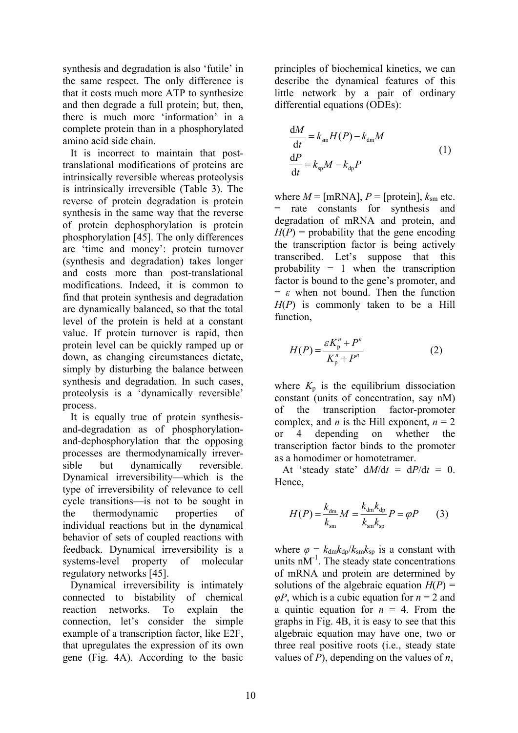synthesis and degradation is also 'futile' in the same respect. The only difference is that it costs much more ATP to synthesize and then degrade a full protein; but, then, there is much more 'information' in a complete protein than in a phosphorylated amino acid side chain.

 It is incorrect to maintain that posttranslational modifications of proteins are intrinsically reversible whereas proteolysis is intrinsically irreversible (Table 3). The reverse of protein degradation is protein synthesis in the same way that the reverse of protein dephosphorylation is protein phosphorylation [45]. The only differences are 'time and money': protein turnover (synthesis and degradation) takes longer and costs more than post-translational modifications. Indeed, it is common to find that protein synthesis and degradation are dynamically balanced, so that the total level of the protein is held at a constant value. If protein turnover is rapid, then protein level can be quickly ramped up or down, as changing circumstances dictate, simply by disturbing the balance between synthesis and degradation. In such cases, proteolysis is a 'dynamically reversible' process.

 It is equally true of protein synthesisand-degradation as of phosphorylationand-dephosphorylation that the opposing processes are thermodynamically irreversible but dynamically reversible. Dynamical irreversibility—which is the type of irreversibility of relevance to cell cycle transitions—is not to be sought in the thermodynamic properties of individual reactions but in the dynamical behavior of sets of coupled reactions with feedback. Dynamical irreversibility is a systems-level property of molecular regulatory networks [45].

 Dynamical irreversibility is intimately connected to bistability of chemical reaction networks. To explain the connection, let's consider the simple example of a transcription factor, like E2F, that upregulates the expression of its own gene (Fig. 4A). According to the basic

principles of biochemical kinetics, we can describe the dynamical features of this little network by a pair of ordinary differential equations (ODEs):

$$
\frac{dM}{dt} = k_{\rm sm}H(P) - k_{\rm dm}M
$$
  
\n
$$
\frac{dP}{dt} = k_{\rm sp}M - k_{\rm dp}P
$$
\n(1)

where  $M = [\text{mRNA}]$ ,  $P = [\text{protein}]$ ,  $k_{\text{sm}}$  etc. = rate constants for synthesis and degradation of mRNA and protein, and  $H(P)$  = probability that the gene encoding the transcription factor is being actively transcribed. Let's suppose that this probability  $= 1$  when the transcription factor is bound to the gene's promoter, and  $= \varepsilon$  when not bound. Then the function *H*(*P*) is commonly taken to be a Hill function,

$$
H(P) = \frac{\varepsilon K_{p}^{n} + P^{n}}{K_{p}^{n} + P^{n}}
$$
 (2)

where  $K_p$  is the equilibrium dissociation constant (units of concentration, say nM) of the transcription factor-promoter complex, and *n* is the Hill exponent,  $n = 2$ or 4 depending on whether the transcription factor binds to the promoter as a homodimer or homotetramer.

At 'steady state'  $dM/dt = dP/dt = 0$ . Hence,

$$
H(P) = \frac{k_{\rm dm}}{k_{\rm sm}} M = \frac{k_{\rm dm} k_{\rm dp}}{k_{\rm sm} k_{\rm sp}} P = \varphi P \qquad (3)
$$

where  $\varphi = k_{dm}k_{dp}/k_{sm}k_{sp}$  is a constant with units  $nM^{-1}$ . The steady state concentrations of mRNA and protein are determined by solutions of the algebraic equation  $H(P)$  = *φP*, which is a cubic equation for *n* = 2 and a quintic equation for  $n = 4$ . From the graphs in Fig. 4B, it is easy to see that this algebraic equation may have one, two or three real positive roots (i.e., steady state values of *P*), depending on the values of *n*,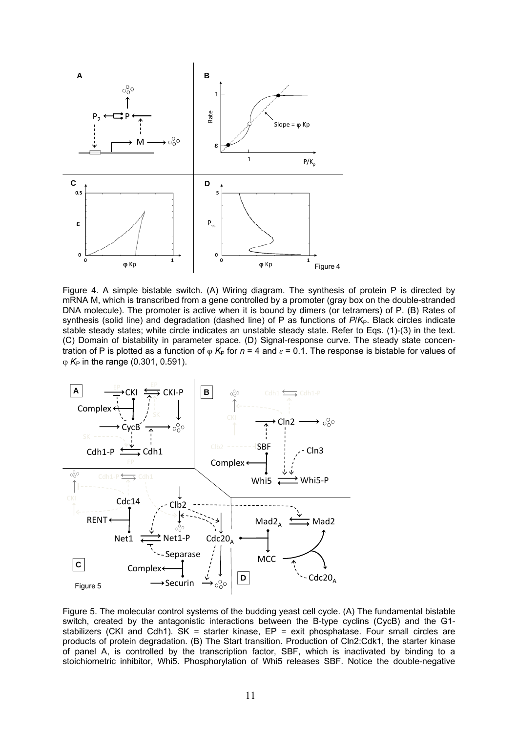

Figure 4. A simple bistable switch. (A) Wiring diagram. The synthesis of protein P is directed by mRNA M, which is transcribed from a gene controlled by a promoter (gray box on the double-stranded DNA molecule). The promoter is active when it is bound by dimers (or tetramers) of P. (B) Rates of synthesis (solid line) and degradation (dashed line) of P as functions of  $P/K_P$ . Black circles indicate stable steady states; white circle indicates an unstable steady state. Refer to Eqs. (1)-(3) in the text. (C) Domain of bistability in parameter space. (D) Signal-response curve. The steady state concentration of P is plotted as a function of  $\varphi K_P$  for  $n = 4$  and  $\varepsilon = 0.1$ . The response is bistable for values of ϕ *K*P in the range (0.301, 0.591).



Figure 5. The molecular control systems of the budding yeast cell cycle. (A) The fundamental bistable switch, created by the antagonistic interactions between the B-type cyclins (CycB) and the G1 stabilizers (CKI and Cdh1). SK = starter kinase, EP = exit phosphatase. Four small circles are products of protein degradation. (B) The Start transition. Production of Cln2:Cdk1, the starter kinase of panel A, is controlled by the transcription factor, SBF, which is inactivated by binding to a stoichiometric inhibitor, Whi5. Phosphorylation of Whi5 releases SBF. Notice the double-negative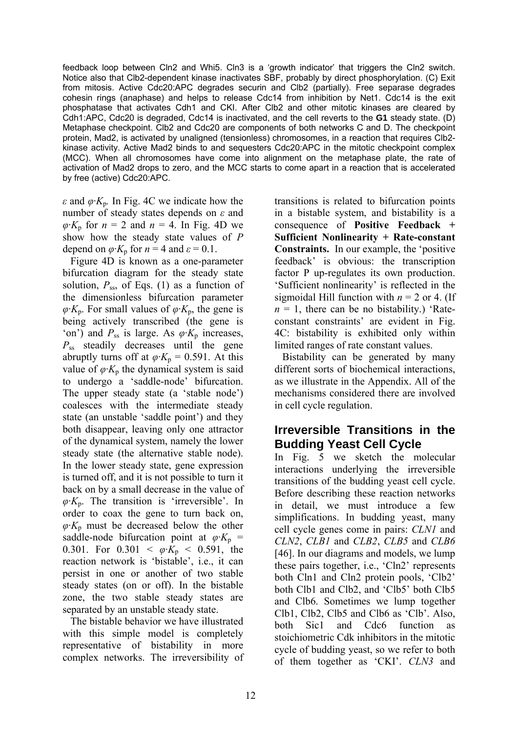feedback loop between Cln2 and Whi5. Cln3 is a 'growth indicator' that triggers the Cln2 switch. Notice also that Clb2-dependent kinase inactivates SBF, probably by direct phosphorylation. (C) Exit from mitosis. Active Cdc20:APC degrades securin and Clb2 (partially). Free separase degrades cohesin rings (anaphase) and helps to release Cdc14 from inhibition by Net1. Cdc14 is the exit phosphatase that activates Cdh1 and CKI. After Clb2 and other mitotic kinases are cleared by Cdh1:APC, Cdc20 is degraded, Cdc14 is inactivated, and the cell reverts to the **G1** steady state. (D) Metaphase checkpoint. Clb2 and Cdc20 are components of both networks C and D. The checkpoint protein, Mad2, is activated by unaligned (tensionless) chromosomes, in a reaction that requires Clb2 kinase activity. Active Mad2 binds to and sequesters Cdc20:APC in the mitotic checkpoint complex (MCC). When all chromosomes have come into alignment on the metaphase plate, the rate of activation of Mad2 drops to zero, and the MCC starts to come apart in a reaction that is accelerated by free (active) Cdc20:APC.

*ε* and *φ*·*K*p*.* In Fig. 4C we indicate how the number of steady states depends on *ε* and  $\varphi$ <sup>*·K*<sub>p</sub></sub> for  $n = 2$  and  $n = 4$ . In Fig. 4D we</sup> show how the steady state values of *P* depend on  $\varphi$ *·K*<sub>p</sub> for  $n = 4$  and  $\varepsilon = 0.1$ .

 Figure 4D is known as a one-parameter bifurcation diagram for the steady state solution,  $P_{ss}$ , of Eqs. (1) as a function of the dimensionless bifurcation parameter  $\varphi$ ·*K*<sub>p</sub>. For small values of  $\varphi$ ·*K*<sub>p</sub>, the gene is being actively transcribed (the gene is 'on') and  $P_{ss}$  is large. As  $\varphi$ <sup>*K*</sup><sub>p</sub> increases, *P*ss steadily decreases until the gene abruptly turns off at  $\varphi$ ·*K*<sub>p</sub> = 0.591. At this value of  $\varphi$ ·*K*<sub>p</sub> the dynamical system is said to undergo a 'saddle-node' bifurcation. The upper steady state (a 'stable node') coalesces with the intermediate steady state (an unstable 'saddle point') and they both disappear, leaving only one attractor of the dynamical system, namely the lower steady state (the alternative stable node). In the lower steady state, gene expression is turned off, and it is not possible to turn it back on by a small decrease in the value of *φ*·*K*p. The transition is 'irreversible'. In order to coax the gene to turn back on, *φ*·*K*p must be decreased below the other saddle-node bifurcation point at  $\varphi$ ·*K*<sub>p</sub> = 0.301. For  $0.301 < \varphi K_p < 0.591$ , the reaction network is 'bistable', i.e., it can persist in one or another of two stable steady states (on or off). In the bistable zone, the two stable steady states are separated by an unstable steady state.

 The bistable behavior we have illustrated with this simple model is completely representative of bistability in more complex networks. The irreversibility of transitions is related to bifurcation points in a bistable system, and bistability is a consequence of **Positive Feedback + Sufficient Nonlinearity + Rate-constant Constraints.** In our example, the 'positive feedback' is obvious: the transcription factor P up-regulates its own production. 'Sufficient nonlinearity' is reflected in the sigmoidal Hill function with  $n = 2$  or 4. (If  $n = 1$ , there can be no bistability.) 'Rateconstant constraints' are evident in Fig. 4C: bistability is exhibited only within limited ranges of rate constant values.

 Bistability can be generated by many different sorts of biochemical interactions, as we illustrate in the Appendix. All of the mechanisms considered there are involved in cell cycle regulation.

### **Irreversible Transitions in the Budding Yeast Cell Cycle**

In Fig. 5 we sketch the molecular interactions underlying the irreversible transitions of the budding yeast cell cycle. Before describing these reaction networks in detail, we must introduce a few simplifications. In budding yeast, many cell cycle genes come in pairs: *CLN1* and *CLN2*, *CLB1* and *CLB2*, *CLB5* and *CLB6* [46]. In our diagrams and models, we lump these pairs together, i.e., 'Cln2' represents both Cln1 and Cln2 protein pools, 'Clb2' both Clb1 and Clb2, and 'Clb5' both Clb5 and Clb6. Sometimes we lump together Clb1, Clb2, Clb5 and Clb6 as 'Clb'. Also, both Sic1 and Cdc6 function stoichiometric Cdk inhibitors in the mitotic cycle of budding yeast, so we refer to both of them together as 'CKI'. *CLN3* and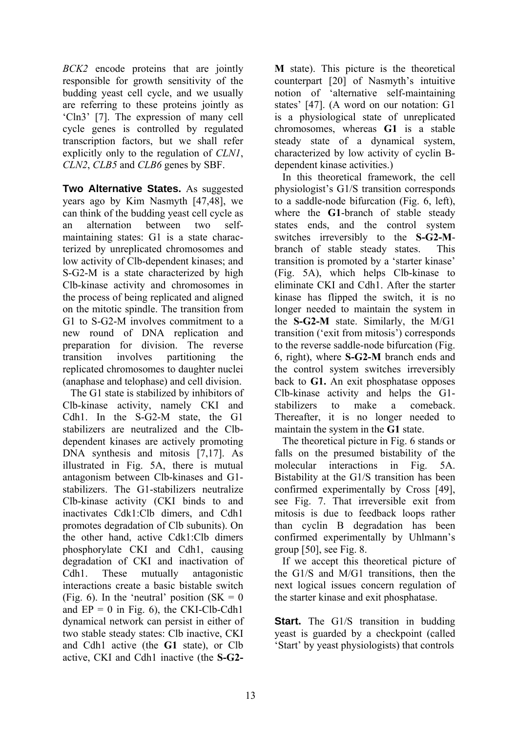*BCK2* encode proteins that are jointly responsible for growth sensitivity of the budding yeast cell cycle, and we usually are referring to these proteins jointly as 'Cln3' [7]. The expression of many cell cycle genes is controlled by regulated transcription factors, but we shall refer explicitly only to the regulation of *CLN1*, *CLN2*, *CLB5* and *CLB6* genes by SBF.

**Two Alternative States.** As suggested years ago by Kim Nasmyth [47,48], we can think of the budding yeast cell cycle as an alternation between two selfmaintaining states: G1 is a state characterized by unreplicated chromosomes and low activity of Clb-dependent kinases; and S-G2-M is a state characterized by high Clb-kinase activity and chromosomes in the process of being replicated and aligned on the mitotic spindle. The transition from G1 to S-G2-M involves commitment to a new round of DNA replication and preparation for division. The reverse transition involves partitioning the replicated chromosomes to daughter nuclei (anaphase and telophase) and cell division.

The G1 state is stabilized by inhibitors of Clb-kinase activity, namely CKI and Cdh1. In the S-G2-M state, the G1 stabilizers are neutralized and the Clbdependent kinases are actively promoting DNA synthesis and mitosis [7,17]. As illustrated in Fig. 5A, there is mutual antagonism between Clb-kinases and G1 stabilizers. The G1-stabilizers neutralize Clb-kinase activity (CKI binds to and inactivates Cdk1:Clb dimers, and Cdh1 promotes degradation of Clb subunits). On the other hand, active Cdk1:Clb dimers phosphorylate CKI and Cdh1, causing degradation of CKI and inactivation of Cdh1. These mutually antagonistic interactions create a basic bistable switch (Fig. 6). In the 'neutral' position ( $SK = 0$ ) and  $EP = 0$  in Fig. 6), the CKI-Clb-Cdh1 dynamical network can persist in either of two stable steady states: Clb inactive, CKI and Cdh1 active (the **G1** state), or Clb active, CKI and Cdh1 inactive (the **S-G2-** **M** state). This picture is the theoretical counterpart [20] of Nasmyth's intuitive notion of 'alternative self-maintaining states' [47]. (A word on our notation: G1 is a physiological state of unreplicated chromosomes, whereas **G1** is a stable steady state of a dynamical system, characterized by low activity of cyclin Bdependent kinase activities.)

 In this theoretical framework, the cell physiologist's G1/S transition corresponds to a saddle-node bifurcation (Fig. 6, left), where the **G1**-branch of stable steady states ends, and the control system switches irreversibly to the **S-G2-M**branch of stable steady states. This transition is promoted by a 'starter kinase' (Fig. 5A), which helps Clb-kinase to eliminate CKI and Cdh1. After the starter kinase has flipped the switch, it is no longer needed to maintain the system in the **S-G2-M** state. Similarly, the M/G1 transition ('exit from mitosis') corresponds to the reverse saddle-node bifurcation (Fig. 6, right), where **S-G2-M** branch ends and the control system switches irreversibly back to **G1.** An exit phosphatase opposes Clb-kinase activity and helps the G1 stabilizers to make a comeback. Thereafter, it is no longer needed to maintain the system in the **G1** state.

 The theoretical picture in Fig. 6 stands or falls on the presumed bistability of the molecular interactions in Fig. 5A. Bistability at the G1/S transition has been confirmed experimentally by Cross [49], see Fig. 7. That irreversible exit from mitosis is due to feedback loops rather than cyclin B degradation has been confirmed experimentally by Uhlmann's group [50], see Fig. 8.

 If we accept this theoretical picture of the G1/S and M/G1 transitions, then the next logical issues concern regulation of the starter kinase and exit phosphatase.

**Start.** The G1/S transition in budding yeast is guarded by a checkpoint (called 'Start' by yeast physiologists) that controls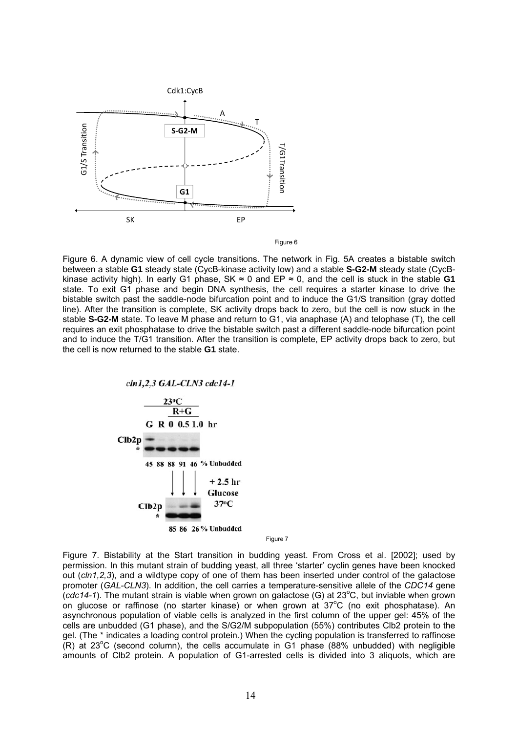

Figure 6

Figure 6. A dynamic view of cell cycle transitions. The network in Fig. 5A creates a bistable switch between a stable **G1** steady state (CycB-kinase activity low) and a stable **S-G2-M** steady state (CycBkinase activity high). In early G1 phase,  $SK \approx 0$  and  $EP \approx 0$ , and the cell is stuck in the stable **G1** state. To exit G1 phase and begin DNA synthesis, the cell requires a starter kinase to drive the bistable switch past the saddle-node bifurcation point and to induce the G1/S transition (gray dotted line). After the transition is complete, SK activity drops back to zero, but the cell is now stuck in the stable **S-G2-M** state. To leave M phase and return to G1, via anaphase (A) and telophase (T), the cell requires an exit phosphatase to drive the bistable switch past a different saddle-node bifurcation point and to induce the T/G1 transition. After the transition is complete, EP activity drops back to zero, but the cell is now returned to the stable **G1** state.



Figure 7

Figure 7. Bistability at the Start transition in budding yeast. From Cross et al. [2002]; used by permission. In this mutant strain of budding yeast, all three 'starter' cyclin genes have been knocked out (*cln1,2,3*), and a wildtype copy of one of them has been inserted under control of the galactose promoter (*GAL-CLN3*). In addition, the cell carries a temperature-sensitive allele of the *CDC14* gene .<br>(cdc14-1). The mutant strain is viable when grown on galactose (G) at 23<sup>o</sup>C, but inviable when grown on glucose or raffinose (no starter kinase) or when grown at 37°C (no exit phosphatase). An asynchronous population of viable cells is analyzed in the first column of the upper gel: 45% of the cells are unbudded (G1 phase), and the S/G2/M subpopulation (55%) contributes Clb2 protein to the gel. (The \* indicates a loading control protein.) When the cycling population is transferred to raffinose  $(R)$  at 23<sup>o</sup>C (second column), the cells accumulate in G1 phase (88% unbudded) with negligible amounts of Clb2 protein. A population of G1-arrested cells is divided into 3 aliquots, which are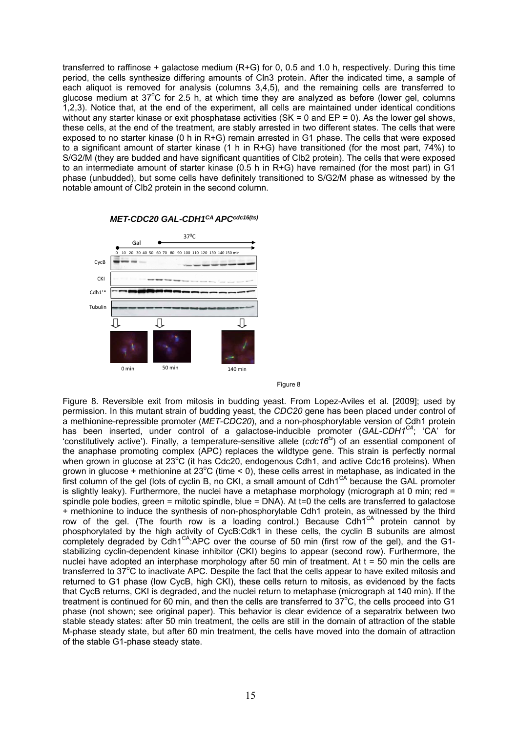transferred to raffinose + galactose medium (R+G) for 0, 0.5 and 1.0 h, respectively. During this time period, the cells synthesize differing amounts of Cln3 protein. After the indicated time, a sample of each aliquot is removed for analysis (columns 3,4,5), and the remaining cells are transferred to glucose medium at 37 $^{\circ}$ C for 2.5 h, at which time they are analyzed as before (lower gel, columns 1,2,3). Notice that, at the end of the experiment, all cells are maintained under identical conditions without any starter kinase or exit phosphatase activities ( $SK = 0$  and  $EP = 0$ ). As the lower gel shows, these cells, at the end of the treatment, are stably arrested in two different states. The cells that were exposed to no starter kinase (0 h in R+G) remain arrested in G1 phase. The cells that were exposed to a significant amount of starter kinase (1 h in R+G) have transitioned (for the most part, 74%) to S/G2/M (they are budded and have significant quantities of Clb2 protein). The cells that were exposed to an intermediate amount of starter kinase (0.5 h in R+G) have remained (for the most part) in G1 phase (unbudded), but some cells have definitely transitioned to S/G2/M phase as witnessed by the notable amount of Clb2 protein in the second column.





Figure 8

Figure 8. Reversible exit from mitosis in budding yeast. From Lopez-Aviles et al. [2009]; used by permission. In this mutant strain of budding yeast, the *CDC20* gene has been placed under control of a methionine-repressible promoter (*MET-CDC20*), and a non-phosphorylable version of Cdh1 protein has been inserted, under control of a galactose-inducible promoter (*GAL-CDH1<sup>CA</sup>*; 'CA' for 'constitutively active'). Finally, a temperature-sensitive allele (*cdc16ts*) of an essential component of the anaphase promoting complex (APC) replaces the wildtype gene. This strain is perfectly normal when grown in glucose at 23°C (it has Cdc20, endogenous Cdh1, and active Cdc16 proteins). When grown in glucose + methionine at 23°C (time < 0), these cells arrest in metaphase, as indicated in the first column of the gel (lots of cyclin B, no CKI, a small amount of Cdh1<sup>CA</sup> because the GAL promoter is slightly leaky). Furthermore, the nuclei have a metaphase morphology (micrograph at 0 min; red = spindle pole bodies, green = mitotic spindle, blue =  $DNA$ ). At t=0 the cells are transferred to galactose + methionine to induce the synthesis of non-phosphorylable Cdh1 protein, as witnessed by the third row of the gel. (The fourth row is a loading control.) Because Cdh1<sup>CA</sup> protein cannot by phosphorylated by the high activity of CycB:Cdk1 in these cells, the cyclin B subunits are almost completely degraded by Cdh1<sup>CA</sup>:APC over the course of 50 min (first row of the gel), and the G1stabilizing cyclin-dependent kinase inhibitor (CKI) begins to appear (second row). Furthermore, the nuclei have adopted an interphase morphology after 50 min of treatment. At  $t = 50$  min the cells are transferred to 37°C to inactivate APC. Despite the fact that the cells appear to have exited mitosis and returned to G1 phase (low CycB, high CKI), these cells return to mitosis, as evidenced by the facts that CycB returns, CKI is degraded, and the nuclei return to metaphase (micrograph at 140 min). If the treatment is continued for 60 min, and then the cells are transferred to  $37^{\circ}$ C, the cells proceed into G1 phase (not shown; see original paper). This behavior is clear evidence of a separatrix between two stable steady states: after 50 min treatment, the cells are still in the domain of attraction of the stable M-phase steady state, but after 60 min treatment, the cells have moved into the domain of attraction of the stable G1-phase steady state.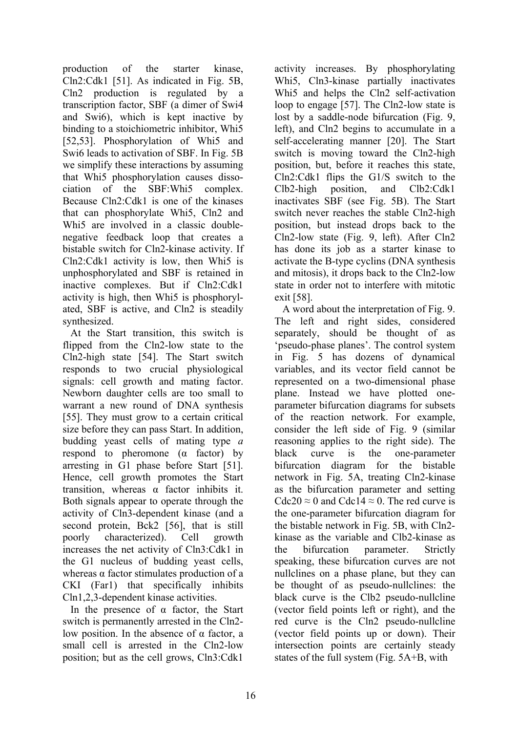production of the starter kinase, Cln2:Cdk1 [51]. As indicated in Fig. 5B, Cln2 production is regulated by a transcription factor, SBF (a dimer of Swi4 and Swi6), which is kept inactive by binding to a stoichiometric inhibitor, Whi5 [52,53]. Phosphorylation of Whi5 and Swi6 leads to activation of SBF. In Fig. 5B we simplify these interactions by assuming that Whi5 phosphorylation causes dissociation of the SBF:Whi5 complex. Because Cln2:Cdk1 is one of the kinases that can phosphorylate Whi5, Cln2 and Whi5 are involved in a classic doublenegative feedback loop that creates a bistable switch for Cln2-kinase activity. If Cln2:Cdk1 activity is low, then Whi5 is unphosphorylated and SBF is retained in inactive complexes. But if Cln2:Cdk1 activity is high, then Whi5 is phosphorylated, SBF is active, and Cln2 is steadily synthesized.

 At the Start transition, this switch is flipped from the Cln2-low state to the Cln2-high state [54]. The Start switch responds to two crucial physiological signals: cell growth and mating factor. Newborn daughter cells are too small to warrant a new round of DNA synthesis [55]. They must grow to a certain critical size before they can pass Start. In addition, budding yeast cells of mating type *a* respond to pheromone  $(\alpha$  factor) by arresting in G1 phase before Start [51]. Hence, cell growth promotes the Start transition, whereas α factor inhibits it. Both signals appear to operate through the activity of Cln3-dependent kinase (and a second protein, Bck2 [56], that is still poorly characterized). Cell growth increases the net activity of Cln3:Cdk1 in the G1 nucleus of budding yeast cells, whereas α factor stimulates production of a CKI (Far1) that specifically inhibits Cln1,2,3-dependent kinase activities.

In the presence of  $\alpha$  factor, the Start switch is permanently arrested in the Cln2 low position. In the absence of  $\alpha$  factor, a small cell is arrested in the Cln2-low position; but as the cell grows, Cln3:Cdk1

activity increases. By phosphorylating Whi5, Cln3-kinase partially inactivates Whi5 and helps the Cln2 self-activation loop to engage [57]. The Cln2-low state is lost by a saddle-node bifurcation (Fig. 9, left), and Cln2 begins to accumulate in a self-accelerating manner [20]. The Start switch is moving toward the Cln2-high position, but, before it reaches this state, Cln2:Cdk1 flips the G1/S switch to the Clb2-high position, and Clb2:Cdk1 inactivates SBF (see Fig. 5B). The Start switch never reaches the stable Cln2-high position, but instead drops back to the Cln2-low state (Fig. 9, left). After Cln2 has done its job as a starter kinase to activate the B-type cyclins (DNA synthesis and mitosis), it drops back to the Cln2-low state in order not to interfere with mitotic exit [58].

 A word about the interpretation of Fig. 9. The left and right sides, considered separately, should be thought of as 'pseudo-phase planes'. The control system in Fig. 5 has dozens of dynamical variables, and its vector field cannot be represented on a two-dimensional phase plane. Instead we have plotted oneparameter bifurcation diagrams for subsets of the reaction network. For example, consider the left side of Fig. 9 (similar reasoning applies to the right side). The black curve is the one-parameter bifurcation diagram for the bistable network in Fig. 5A, treating Cln2-kinase as the bifurcation parameter and setting  $Cdc20 \approx 0$  and  $Cdc14 \approx 0$ . The red curve is the one-parameter bifurcation diagram for the bistable network in Fig. 5B, with Cln2 kinase as the variable and Clb2-kinase as the bifurcation parameter. Strictly speaking, these bifurcation curves are not nullclines on a phase plane, but they can be thought of as pseudo-nullclines: the black curve is the Clb2 pseudo-nullcline (vector field points left or right), and the red curve is the Cln2 pseudo-nullcline (vector field points up or down). Their intersection points are certainly steady states of the full system (Fig. 5A+B, with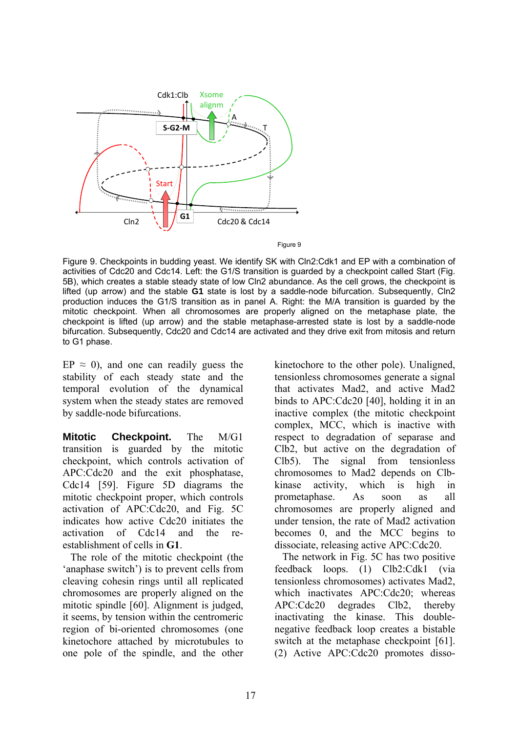

Figure 9

Figure 9. Checkpoints in budding yeast. We identify SK with Cln2:Cdk1 and EP with a combination of activities of Cdc20 and Cdc14. Left: the G1/S transition is guarded by a checkpoint called Start (Fig. 5B), which creates a stable steady state of low Cln2 abundance. As the cell grows, the checkpoint is lifted (up arrow) and the stable **G1** state is lost by a saddle-node bifurcation. Subsequently, Cln2 production induces the G1/S transition as in panel A. Right: the M/A transition is guarded by the mitotic checkpoint. When all chromosomes are properly aligned on the metaphase plate, the checkpoint is lifted (up arrow) and the stable metaphase-arrested state is lost by a saddle-node bifurcation. Subsequently, Cdc20 and Cdc14 are activated and they drive exit from mitosis and return to G1 phase.

EP  $\approx$  0), and one can readily guess the stability of each steady state and the temporal evolution of the dynamical system when the steady states are removed by saddle-node bifurcations.

**Mitotic Checkpoint.** The M/G1 transition is guarded by the mitotic checkpoint, which controls activation of APC:Cdc20 and the exit phosphatase, Cdc14 [59]. Figure 5D diagrams the mitotic checkpoint proper, which controls activation of APC:Cdc20, and Fig. 5C indicates how active Cdc20 initiates the activation of Cdc14 and the reestablishment of cells in **G1**.

 The role of the mitotic checkpoint (the 'anaphase switch') is to prevent cells from cleaving cohesin rings until all replicated chromosomes are properly aligned on the mitotic spindle [60]. Alignment is judged, it seems, by tension within the centromeric region of bi-oriented chromosomes (one kinetochore attached by microtubules to one pole of the spindle, and the other kinetochore to the other pole). Unaligned, tensionless chromosomes generate a signal that activates Mad2, and active Mad2 binds to APC:Cdc20 [40], holding it in an inactive complex (the mitotic checkpoint complex, MCC, which is inactive with respect to degradation of separase and Clb2, but active on the degradation of Clb5). The signal from tensionless chromosomes to Mad2 depends on Clbkinase activity, which is high in prometaphase. As soon as all chromosomes are properly aligned and under tension, the rate of Mad2 activation becomes 0, and the MCC begins to dissociate, releasing active APC:Cdc20.

 The network in Fig. 5C has two positive feedback loops. (1) Clb2:Cdk1 (via tensionless chromosomes) activates Mad2, which inactivates APC:Cdc20; whereas APC:Cdc20 degrades Clb2, thereby inactivating the kinase. This doublenegative feedback loop creates a bistable switch at the metaphase checkpoint [61]. (2) Active APC:Cdc20 promotes disso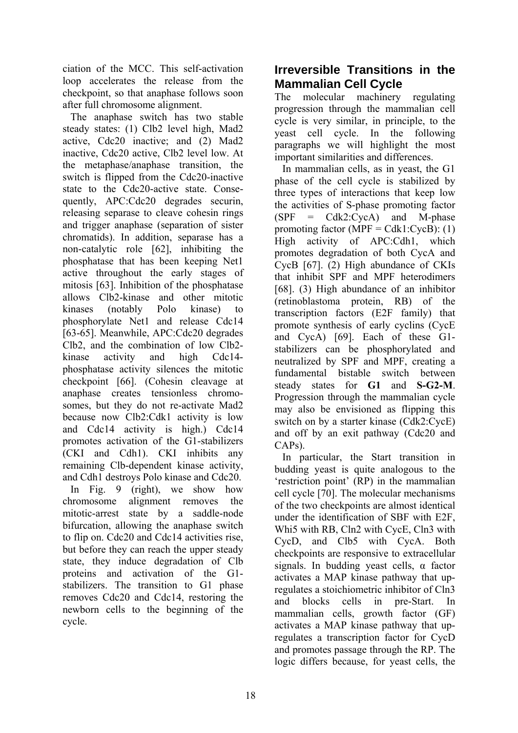ciation of the MCC. This self-activation loop accelerates the release from the checkpoint, so that anaphase follows soon after full chromosome alignment.

 The anaphase switch has two stable steady states: (1) Clb2 level high, Mad2 active, Cdc20 inactive; and (2) Mad2 inactive, Cdc20 active, Clb2 level low. At the metaphase/anaphase transition, the switch is flipped from the Cdc20-inactive state to the Cdc20-active state. Consequently, APC:Cdc20 degrades securin, releasing separase to cleave cohesin rings and trigger anaphase (separation of sister chromatids). In addition, separase has a non-catalytic role [62], inhibiting the phosphatase that has been keeping Net1 active throughout the early stages of mitosis [63]. Inhibition of the phosphatase allows Clb2-kinase and other mitotic kinases (notably Polo kinase) to phosphorylate Net1 and release Cdc14 [63-65]. Meanwhile, APC:Cdc20 degrades Clb2, and the combination of low Clb2 kinase activity and high Cdc14 phosphatase activity silences the mitotic checkpoint [66]. (Cohesin cleavage at anaphase creates tensionless chromosomes, but they do not re-activate Mad2 because now Clb2:Cdk1 activity is low and Cdc14 activity is high.) Cdc14 promotes activation of the G1-stabilizers (CKI and Cdh1). CKI inhibits any remaining Clb-dependent kinase activity, and Cdh1 destroys Polo kinase and Cdc20.

 In Fig. 9 (right), we show how chromosome alignment removes the mitotic-arrest state by a saddle-node bifurcation, allowing the anaphase switch to flip on. Cdc20 and Cdc14 activities rise, but before they can reach the upper steady state, they induce degradation of Clb proteins and activation of the G1 stabilizers. The transition to G1 phase removes Cdc20 and Cdc14, restoring the newborn cells to the beginning of the cycle.

## **Irreversible Transitions in the Mammalian Cell Cycle**

The molecular machinery regulating progression through the mammalian cell cycle is very similar, in principle, to the yeast cell cycle. In the following paragraphs we will highlight the most important similarities and differences.

 In mammalian cells, as in yeast, the G1 phase of the cell cycle is stabilized by three types of interactions that keep low the activities of S-phase promoting factor  $(SPF = Cdk2:CvcA)$  and M-phase promoting factor (MPF =  $Cdk1$ : $CycB$ ): (1) High activity of APC:Cdh1, which promotes degradation of both CycA and CycB [67]. (2) High abundance of CKIs that inhibit SPF and MPF heterodimers [68]. (3) High abundance of an inhibitor (retinoblastoma protein, RB) of the transcription factors (E2F family) that promote synthesis of early cyclins (CycE and CycA) [69]. Each of these G1 stabilizers can be phosphorylated and neutralized by SPF and MPF, creating a fundamental bistable switch between steady states for **G1** and **S-G2-M**. Progression through the mammalian cycle may also be envisioned as flipping this switch on by a starter kinase (Cdk2:CycE) and off by an exit pathway (Cdc20 and CAPs).

 In particular, the Start transition in budding yeast is quite analogous to the 'restriction point' (RP) in the mammalian cell cycle [70]. The molecular mechanisms of the two checkpoints are almost identical under the identification of SBF with E2F, Whi5 with RB, Cln2 with CycE, Cln3 with CycD, and Clb5 with CycA. Both checkpoints are responsive to extracellular signals. In budding yeast cells,  $\alpha$  factor activates a MAP kinase pathway that upregulates a stoichiometric inhibitor of Cln3 and blocks cells in pre-Start. In mammalian cells, growth factor (GF) activates a MAP kinase pathway that upregulates a transcription factor for CycD and promotes passage through the RP. The logic differs because, for yeast cells, the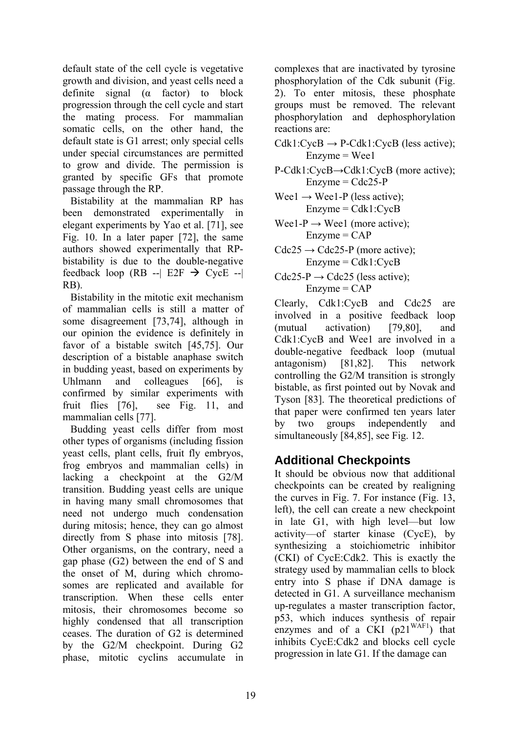default state of the cell cycle is vegetative growth and division, and yeast cells need a definite signal (α factor) to block progression through the cell cycle and start the mating process. For mammalian somatic cells, on the other hand, the default state is G1 arrest; only special cells under special circumstances are permitted to grow and divide. The permission is granted by specific GFs that promote passage through the RP.

 Bistability at the mammalian RP has been demonstrated experimentally in elegant experiments by Yao et al. [71], see Fig. 10. In a later paper [72], the same authors showed experimentally that RPbistability is due to the double-negative feedback loop (RB --| E2F  $\rightarrow$  CycE --| RB).

 Bistability in the mitotic exit mechanism of mammalian cells is still a matter of some disagreement [73,74], although in our opinion the evidence is definitely in favor of a bistable switch [45,75]. Our description of a bistable anaphase switch in budding yeast, based on experiments by Uhlmann and colleagues [66], is confirmed by similar experiments with fruit flies [76], see Fig. 11, and mammalian cells [77].

 Budding yeast cells differ from most other types of organisms (including fission yeast cells, plant cells, fruit fly embryos, frog embryos and mammalian cells) in lacking a checkpoint at the G2/M transition. Budding yeast cells are unique in having many small chromosomes that need not undergo much condensation during mitosis; hence, they can go almost directly from S phase into mitosis [78]. Other organisms, on the contrary, need a gap phase (G2) between the end of S and the onset of M, during which chromosomes are replicated and available for transcription. When these cells enter mitosis, their chromosomes become so highly condensed that all transcription ceases. The duration of G2 is determined by the G2/M checkpoint. During G2 phase, mitotic cyclins accumulate in

complexes that are inactivated by tyrosine phosphorylation of the Cdk subunit (Fig. 2). To enter mitosis, these phosphate groups must be removed. The relevant phosphorylation and dephosphorylation reactions are:

- $Cdk1:CycB \rightarrow P-Cdk1:CycB$  (less active);  $Enzyme = Weel$
- P-Cdk1:CycB→Cdk1:CycB (more active);  $Enzyme = Cdc25-P$
- Wee1  $\rightarrow$  Wee1-P (less active);  $Enzyme = Cdk1:CycB$
- Wee1-P  $\rightarrow$  Wee1 (more active);  $Enzyme = CAP$
- $Cdc25 \rightarrow Cdc25-P$  (more active);  $Enzyme = Cdk1:CycB$
- $Cdc25-P \rightarrow Cdc25$  (less active);  $Enzyme = CAP$

Clearly, Cdk1:CycB and Cdc25 are involved in a positive feedback loop (mutual activation) [79,80], and Cdk1:CycB and Wee1 are involved in a double-negative feedback loop (mutual antagonism) [81,82]. This network controlling the G2/M transition is strongly bistable, as first pointed out by Novak and Tyson [83]. The theoretical predictions of that paper were confirmed ten years later by two groups independently and simultaneously [84,85], see Fig. 12.

## **Additional Checkpoints**

It should be obvious now that additional checkpoints can be created by realigning the curves in Fig. 7. For instance (Fig. 13, left), the cell can create a new checkpoint in late G1, with high level—but low activity—of starter kinase (CycE), by synthesizing a stoichiometric inhibitor (CKI) of CycE:Cdk2. This is exactly the strategy used by mammalian cells to block entry into S phase if DNA damage is detected in G1. A surveillance mechanism up-regulates a master transcription factor, p53, which induces synthesis of repair enzymes and of a CKI  $(p21^{WAF1})$  that inhibits CycE:Cdk2 and blocks cell cycle progression in late G1. If the damage can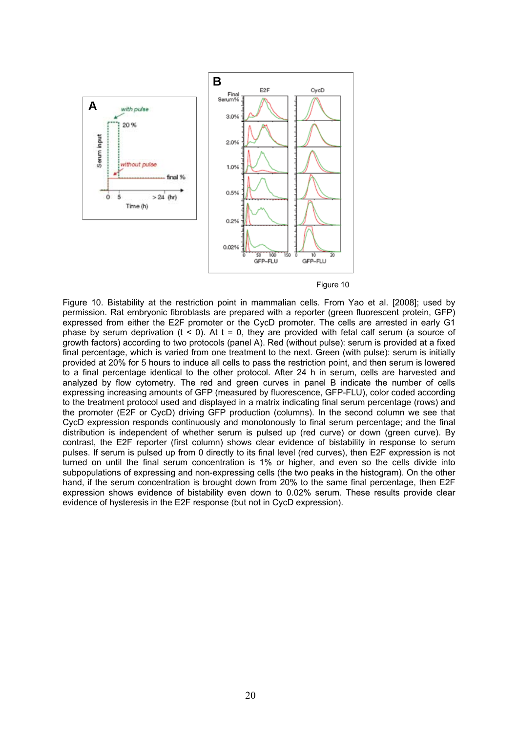

Figure 10

Figure 10. Bistability at the restriction point in mammalian cells. From Yao et al. [2008]; used by permission. Rat embryonic fibroblasts are prepared with a reporter (green fluorescent protein, GFP) expressed from either the E2F promoter or the CycD promoter. The cells are arrested in early G1 phase by serum deprivation  $(t < 0)$ . At  $t = 0$ , they are provided with fetal calf serum (a source of growth factors) according to two protocols (panel A). Red (without pulse): serum is provided at a fixed final percentage, which is varied from one treatment to the next. Green (with pulse): serum is initially provided at 20% for 5 hours to induce all cells to pass the restriction point, and then serum is lowered to a final percentage identical to the other protocol. After 24 h in serum, cells are harvested and analyzed by flow cytometry. The red and green curves in panel B indicate the number of cells expressing increasing amounts of GFP (measured by fluorescence, GFP-FLU), color coded according to the treatment protocol used and displayed in a matrix indicating final serum percentage (rows) and the promoter (E2F or CycD) driving GFP production (columns). In the second column we see that CycD expression responds continuously and monotonously to final serum percentage; and the final distribution is independent of whether serum is pulsed up (red curve) or down (green curve). By contrast, the E2F reporter (first column) shows clear evidence of bistability in response to serum pulses. If serum is pulsed up from 0 directly to its final level (red curves), then E2F expression is not turned on until the final serum concentration is 1% or higher, and even so the cells divide into subpopulations of expressing and non-expressing cells (the two peaks in the histogram). On the other hand, if the serum concentration is brought down from 20% to the same final percentage, then E2F expression shows evidence of bistability even down to 0.02% serum. These results provide clear evidence of hysteresis in the E2F response (but not in CycD expression).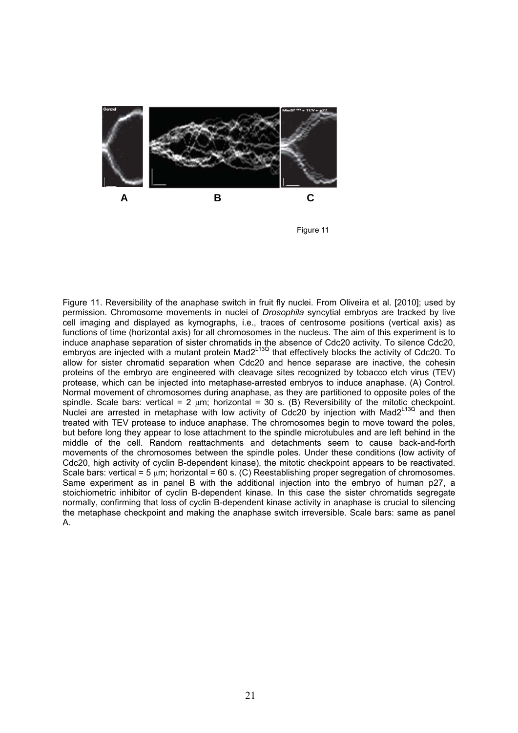

Figure 11

Figure 11. Reversibility of the anaphase switch in fruit fly nuclei. From Oliveira et al. [2010]; used by permission. Chromosome movements in nuclei of *Drosophila* syncytial embryos are tracked by live cell imaging and displayed as kymographs, i.e., traces of centrosome positions (vertical axis) as functions of time (horizontal axis) for all chromosomes in the nucleus. The aim of this experiment is to induce anaphase separation of sister chromatids in the absence of Cdc20 activity. To silence Cdc20, embryos are injected with a mutant protein Mad2<sup>L13Q</sup> that effectively blocks the activity of Cdc20. To allow for sister chromatid separation when Cdc20 and hence separase are inactive, the cohesin proteins of the embryo are engineered with cleavage sites recognized by tobacco etch virus (TEV) protease, which can be injected into metaphase-arrested embryos to induce anaphase. (A) Control. Normal movement of chromosomes during anaphase, as they are partitioned to opposite poles of the spindle. Scale bars: vertical = 2  $\mu$ m; horizontal = 30 s. (B) Reversibility of the mitotic checkpoint. Nuclei are arrested in metaphase with low activity of Cdc20 by injection with Mad2 $^{13Q}$  and then treated with TEV protease to induce anaphase. The chromosomes begin to move toward the poles, but before long they appear to lose attachment to the spindle microtubules and are left behind in the middle of the cell. Random reattachments and detachments seem to cause back-and-forth movements of the chromosomes between the spindle poles. Under these conditions (low activity of Cdc20, high activity of cyclin B-dependent kinase), the mitotic checkpoint appears to be reactivated. Scale bars: vertical = 5  $\mu$ m; horizontal = 60 s. (C) Reestablishing proper segregation of chromosomes. Same experiment as in panel B with the additional injection into the embryo of human p27, a stoichiometric inhibitor of cyclin B-dependent kinase. In this case the sister chromatids segregate normally, confirming that loss of cyclin B-dependent kinase activity in anaphase is crucial to silencing the metaphase checkpoint and making the anaphase switch irreversible. Scale bars: same as panel A.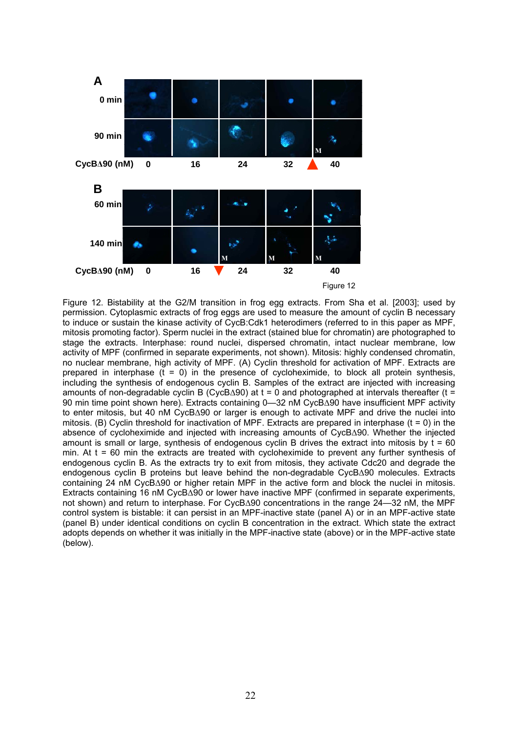

Figure 12. Bistability at the G2/M transition in frog egg extracts. From Sha et al. [2003]; used by permission. Cytoplasmic extracts of frog eggs are used to measure the amount of cyclin B necessary to induce or sustain the kinase activity of CycB:Cdk1 heterodimers (referred to in this paper as MPF, mitosis promoting factor). Sperm nuclei in the extract (stained blue for chromatin) are photographed to stage the extracts. Interphase: round nuclei, dispersed chromatin, intact nuclear membrane, low activity of MPF (confirmed in separate experiments, not shown). Mitosis: highly condensed chromatin, no nuclear membrane, high activity of MPF. (A) Cyclin threshold for activation of MPF. Extracts are prepared in interphase  $(t = 0)$  in the presence of cycloheximide, to block all protein synthesis, including the synthesis of endogenous cyclin B. Samples of the extract are injected with increasing amounts of non-degradable cyclin B (CycB $\triangle$ 90) at t = 0 and photographed at intervals thereafter (t = 90 min time point shown here). Extracts containing 0—32 nM CycBΔ90 have insufficient MPF activity to enter mitosis, but 40 nM CycBΔ90 or larger is enough to activate MPF and drive the nuclei into mitosis. (B) Cyclin threshold for inactivation of MPF. Extracts are prepared in interphase (t = 0) in the absence of cycloheximide and injected with increasing amounts of CycBΔ90. Whether the injected amount is small or large, synthesis of endogenous cyclin B drives the extract into mitosis by  $t = 60$ min. At  $t = 60$  min the extracts are treated with cycloheximide to prevent any further synthesis of endogenous cyclin B. As the extracts try to exit from mitosis, they activate Cdc20 and degrade the endogenous cyclin B proteins but leave behind the non-degradable CycBΔ90 molecules. Extracts containing 24 nM CycBΔ90 or higher retain MPF in the active form and block the nuclei in mitosis. Extracts containing 16 nM CycBΔ90 or lower have inactive MPF (confirmed in separate experiments, not shown) and return to interphase. For CycBΔ90 concentrations in the range 24—32 nM, the MPF control system is bistable: it can persist in an MPF-inactive state (panel A) or in an MPF-active state (panel B) under identical conditions on cyclin B concentration in the extract. Which state the extract adopts depends on whether it was initially in the MPF-inactive state (above) or in the MPF-active state (below).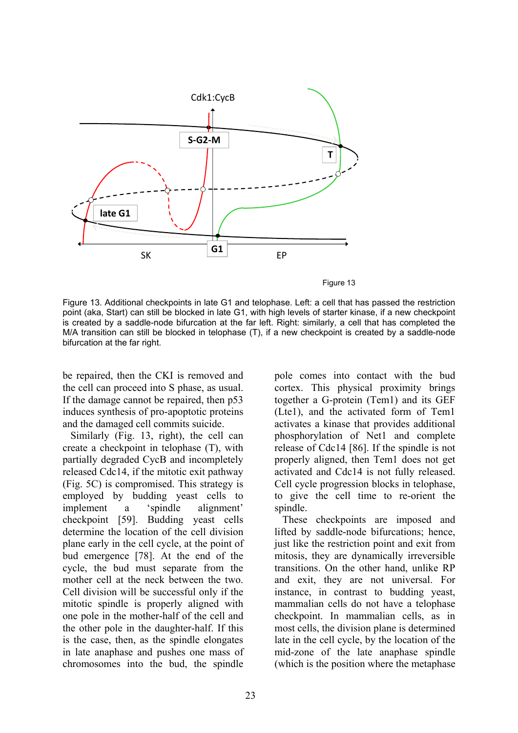

Figure 13

Figure 13. Additional checkpoints in late G1 and telophase. Left: a cell that has passed the restriction point (aka, Start) can still be blocked in late G1, with high levels of starter kinase, if a new checkpoint is created by a saddle-node bifurcation at the far left. Right: similarly, a cell that has completed the M/A transition can still be blocked in telophase (T), if a new checkpoint is created by a saddle-node bifurcation at the far right.

be repaired, then the CKI is removed and the cell can proceed into S phase, as usual. If the damage cannot be repaired, then p53 induces synthesis of pro-apoptotic proteins and the damaged cell commits suicide.

 Similarly (Fig. 13, right), the cell can create a checkpoint in telophase (T), with partially degraded CycB and incompletely released Cdc14, if the mitotic exit pathway (Fig. 5C) is compromised. This strategy is employed by budding yeast cells to implement a 'spindle alignment' checkpoint [59]. Budding yeast cells determine the location of the cell division plane early in the cell cycle, at the point of bud emergence [78]. At the end of the cycle, the bud must separate from the mother cell at the neck between the two. Cell division will be successful only if the mitotic spindle is properly aligned with one pole in the mother-half of the cell and the other pole in the daughter-half. If this is the case, then, as the spindle elongates in late anaphase and pushes one mass of chromosomes into the bud, the spindle

pole comes into contact with the bud cortex. This physical proximity brings together a G-protein (Tem1) and its GEF (Lte1), and the activated form of Tem1 activates a kinase that provides additional phosphorylation of Net1 and complete release of Cdc14 [86]. If the spindle is not properly aligned, then Tem1 does not get activated and Cdc14 is not fully released. Cell cycle progression blocks in telophase, to give the cell time to re-orient the spindle.

 These checkpoints are imposed and lifted by saddle-node bifurcations; hence, just like the restriction point and exit from mitosis, they are dynamically irreversible transitions. On the other hand, unlike RP and exit, they are not universal. For instance, in contrast to budding yeast, mammalian cells do not have a telophase checkpoint. In mammalian cells, as in most cells, the division plane is determined late in the cell cycle, by the location of the mid-zone of the late anaphase spindle (which is the position where the metaphase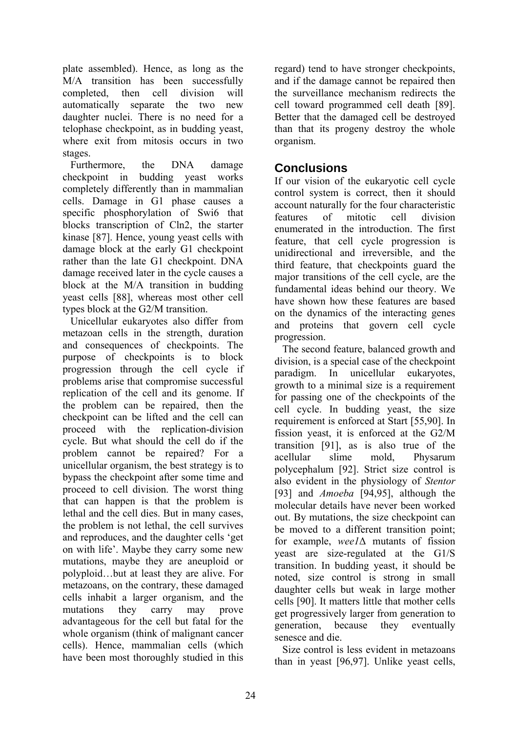plate assembled). Hence, as long as the M/A transition has been successfully completed, then cell division will automatically separate the two new daughter nuclei. There is no need for a telophase checkpoint, as in budding yeast, where exit from mitosis occurs in two stages.

 Furthermore, the DNA damage checkpoint in budding yeast works completely differently than in mammalian cells. Damage in G1 phase causes a specific phosphorylation of Swi6 that blocks transcription of Cln2, the starter kinase [87]. Hence, young yeast cells with damage block at the early G1 checkpoint rather than the late G1 checkpoint. DNA damage received later in the cycle causes a block at the M/A transition in budding yeast cells [88], whereas most other cell types block at the G2/M transition.

 Unicellular eukaryotes also differ from metazoan cells in the strength, duration and consequences of checkpoints. The purpose of checkpoints is to block progression through the cell cycle if problems arise that compromise successful replication of the cell and its genome. If the problem can be repaired, then the checkpoint can be lifted and the cell can proceed with the replication-division cycle. But what should the cell do if the problem cannot be repaired? For a unicellular organism, the best strategy is to bypass the checkpoint after some time and proceed to cell division. The worst thing that can happen is that the problem is lethal and the cell dies. But in many cases, the problem is not lethal, the cell survives and reproduces, and the daughter cells 'get on with life'. Maybe they carry some new mutations, maybe they are aneuploid or polyploid…but at least they are alive. For metazoans, on the contrary, these damaged cells inhabit a larger organism, and the mutations they carry may prove advantageous for the cell but fatal for the whole organism (think of malignant cancer cells). Hence, mammalian cells (which have been most thoroughly studied in this

regard) tend to have stronger checkpoints, and if the damage cannot be repaired then the surveillance mechanism redirects the cell toward programmed cell death [89]. Better that the damaged cell be destroyed than that its progeny destroy the whole organism.

## **Conclusions**

If our vision of the eukaryotic cell cycle control system is correct, then it should account naturally for the four characteristic features of mitotic cell division enumerated in the introduction. The first feature, that cell cycle progression is unidirectional and irreversible, and the third feature, that checkpoints guard the major transitions of the cell cycle, are the fundamental ideas behind our theory. We have shown how these features are based on the dynamics of the interacting genes and proteins that govern cell cycle progression.

 The second feature, balanced growth and division, is a special case of the checkpoint paradigm. In unicellular eukaryotes, growth to a minimal size is a requirement for passing one of the checkpoints of the cell cycle. In budding yeast, the size requirement is enforced at Start [55,90]. In fission yeast, it is enforced at the G2/M transition [91], as is also true of the acellular slime mold, Physarum polycephalum [92]. Strict size control is also evident in the physiology of *Stentor* [93] and *Amoeba* [94,95], although the molecular details have never been worked out. By mutations, the size checkpoint can be moved to a different transition point; for example, *wee1*Δ mutants of fission yeast are size-regulated at the G1/S transition. In budding yeast, it should be noted, size control is strong in small daughter cells but weak in large mother cells [90]. It matters little that mother cells get progressively larger from generation to generation, because they eventually senesce and die.

 Size control is less evident in metazoans than in yeast [96,97]. Unlike yeast cells,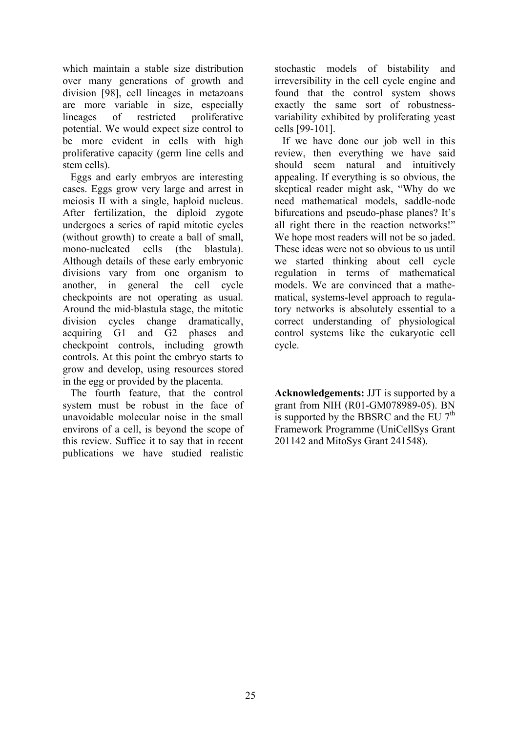which maintain a stable size distribution over many generations of growth and division [98], cell lineages in metazoans are more variable in size, especially lineages of restricted proliferative potential. We would expect size control to be more evident in cells with high proliferative capacity (germ line cells and stem cells).

 Eggs and early embryos are interesting cases. Eggs grow very large and arrest in meiosis II with a single, haploid nucleus. After fertilization, the diploid zygote undergoes a series of rapid mitotic cycles (without growth) to create a ball of small, mono-nucleated cells (the blastula). Although details of these early embryonic divisions vary from one organism to another, in general the cell cycle checkpoints are not operating as usual. Around the mid-blastula stage, the mitotic division cycles change dramatically, acquiring G1 and G2 phases and checkpoint controls, including growth controls. At this point the embryo starts to grow and develop, using resources stored in the egg or provided by the placenta.

 The fourth feature, that the control system must be robust in the face of unavoidable molecular noise in the small environs of a cell, is beyond the scope of this review. Suffice it to say that in recent publications we have studied realistic

stochastic models of bistability and irreversibility in the cell cycle engine and found that the control system shows exactly the same sort of robustnessvariability exhibited by proliferating yeast cells [99-101].

 If we have done our job well in this review, then everything we have said should seem natural and intuitively appealing. If everything is so obvious, the skeptical reader might ask, "Why do we need mathematical models, saddle-node bifurcations and pseudo-phase planes? It's all right there in the reaction networks!" We hope most readers will not be so jaded. These ideas were not so obvious to us until we started thinking about cell cycle regulation in terms of mathematical models. We are convinced that a mathematical, systems-level approach to regulatory networks is absolutely essential to a correct understanding of physiological control systems like the eukaryotic cell cycle.

**Acknowledgements:** JJT is supported by a grant from NIH (R01-GM078989-05). BN is supported by the BBSRC and the EU  $7<sup>th</sup>$ Framework Programme (UniCellSys Grant 201142 and MitoSys Grant 241548).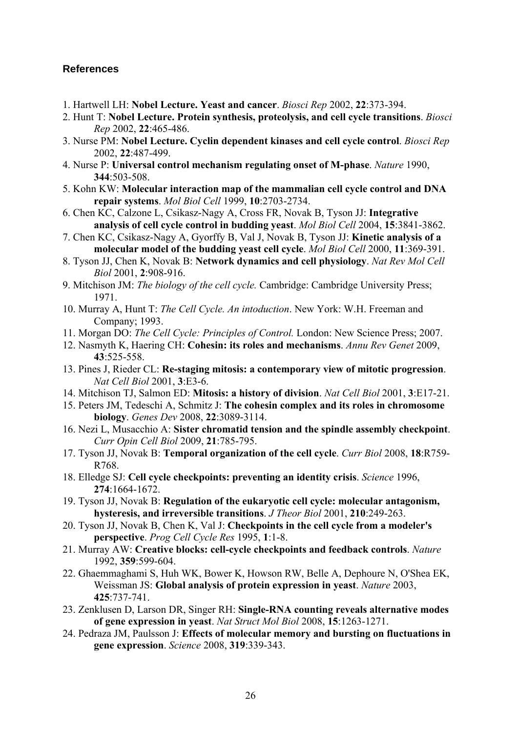### **References**

- 1. Hartwell LH: **Nobel Lecture. Yeast and cancer**. *Biosci Rep* 2002, **22**:373-394.
- 2. Hunt T: **Nobel Lecture. Protein synthesis, proteolysis, and cell cycle transitions**. *Biosci Rep* 2002, **22**:465-486.
- 3. Nurse PM: **Nobel Lecture. Cyclin dependent kinases and cell cycle control**. *Biosci Rep*  2002, **22**:487-499.
- 4. Nurse P: **Universal control mechanism regulating onset of M-phase**. *Nature* 1990, **344**:503-508.
- 5. Kohn KW: **Molecular interaction map of the mammalian cell cycle control and DNA repair systems**. *Mol Biol Cell* 1999, **10**:2703-2734.
- 6. Chen KC, Calzone L, Csikasz-Nagy A, Cross FR, Novak B, Tyson JJ: **Integrative analysis of cell cycle control in budding yeast**. *Mol Biol Cell* 2004, **15**:3841-3862.
- 7. Chen KC, Csikasz-Nagy A, Gyorffy B, Val J, Novak B, Tyson JJ: **Kinetic analysis of a molecular model of the budding yeast cell cycle**. *Mol Biol Cell* 2000, **11**:369-391.
- 8. Tyson JJ, Chen K, Novak B: **Network dynamics and cell physiology**. *Nat Rev Mol Cell Biol* 2001, **2**:908-916.
- 9. Mitchison JM: *The biology of the cell cycle.* Cambridge: Cambridge University Press; 1971.
- 10. Murray A, Hunt T: *The Cell Cycle. An intoduction*. New York: W.H. Freeman and Company; 1993.
- 11. Morgan DO: *The Cell Cycle: Principles of Control.* London: New Science Press; 2007.
- 12. Nasmyth K, Haering CH: **Cohesin: its roles and mechanisms**. *Annu Rev Genet* 2009, **43**:525-558.
- 13. Pines J, Rieder CL: **Re-staging mitosis: a contemporary view of mitotic progression**. *Nat Cell Biol* 2001, **3**:E3-6.
- 14. Mitchison TJ, Salmon ED: **Mitosis: a history of division**. *Nat Cell Biol* 2001, **3**:E17-21.
- 15. Peters JM, Tedeschi A, Schmitz J: **The cohesin complex and its roles in chromosome biology**. *Genes Dev* 2008, **22**:3089-3114.
- 16. Nezi L, Musacchio A: **Sister chromatid tension and the spindle assembly checkpoint**. *Curr Opin Cell Biol* 2009, **21**:785-795.
- 17. Tyson JJ, Novak B: **Temporal organization of the cell cycle**. *Curr Biol* 2008, **18**:R759- R768.
- 18. Elledge SJ: **Cell cycle checkpoints: preventing an identity crisis**. *Science* 1996, **274**:1664-1672.
- 19. Tyson JJ, Novak B: **Regulation of the eukaryotic cell cycle: molecular antagonism, hysteresis, and irreversible transitions**. *J Theor Biol* 2001, **210**:249-263.
- 20. Tyson JJ, Novak B, Chen K, Val J: **Checkpoints in the cell cycle from a modeler's perspective**. *Prog Cell Cycle Res* 1995, **1**:1-8.
- 21. Murray AW: **Creative blocks: cell-cycle checkpoints and feedback controls**. *Nature*  1992, **359**:599-604.
- 22. Ghaemmaghami S, Huh WK, Bower K, Howson RW, Belle A, Dephoure N, O'Shea EK, Weissman JS: **Global analysis of protein expression in yeast**. *Nature* 2003, **425**:737-741.
- 23. Zenklusen D, Larson DR, Singer RH: **Single-RNA counting reveals alternative modes of gene expression in yeast**. *Nat Struct Mol Biol* 2008, **15**:1263-1271.
- 24. Pedraza JM, Paulsson J: **Effects of molecular memory and bursting on fluctuations in gene expression**. *Science* 2008, **319**:339-343.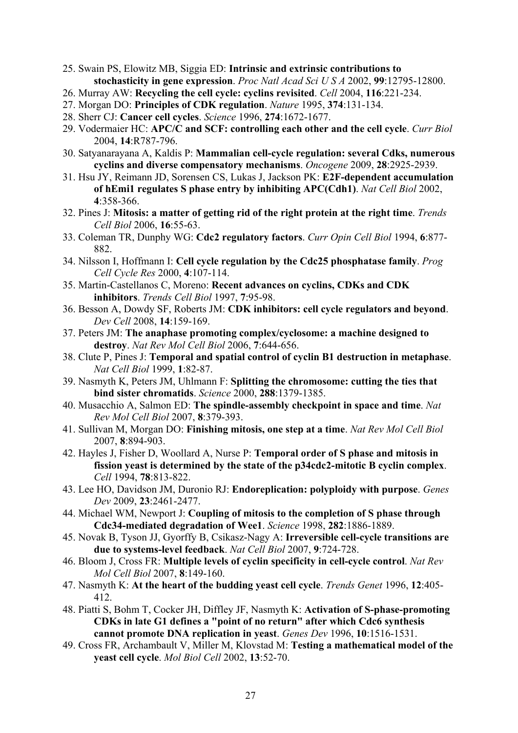- 25. Swain PS, Elowitz MB, Siggia ED: **Intrinsic and extrinsic contributions to stochasticity in gene expression**. *Proc Natl Acad Sci U S A* 2002, **99**:12795-12800.
- 26. Murray AW: **Recycling the cell cycle: cyclins revisited**. *Cell* 2004, **116**:221-234.
- 27. Morgan DO: **Principles of CDK regulation**. *Nature* 1995, **374**:131-134.
- 28. Sherr CJ: **Cancer cell cycles**. *Science* 1996, **274**:1672-1677.
- 29. Vodermaier HC: **APC/C and SCF: controlling each other and the cell cycle**. *Curr Biol*  2004, **14**:R787-796.
- 30. Satyanarayana A, Kaldis P: **Mammalian cell-cycle regulation: several Cdks, numerous cyclins and diverse compensatory mechanisms**. *Oncogene* 2009, **28**:2925-2939.
- 31. Hsu JY, Reimann JD, Sorensen CS, Lukas J, Jackson PK: **E2F-dependent accumulation of hEmi1 regulates S phase entry by inhibiting APC(Cdh1)**. *Nat Cell Biol* 2002, **4**:358-366.
- 32. Pines J: **Mitosis: a matter of getting rid of the right protein at the right time**. *Trends Cell Biol* 2006, **16**:55-63.
- 33. Coleman TR, Dunphy WG: **Cdc2 regulatory factors**. *Curr Opin Cell Biol* 1994, **6**:877- 882.
- 34. Nilsson I, Hoffmann I: **Cell cycle regulation by the Cdc25 phosphatase family**. *Prog Cell Cycle Res* 2000, **4**:107-114.
- 35. Martin-Castellanos C, Moreno: **Recent advances on cyclins, CDKs and CDK inhibitors**. *Trends Cell Biol* 1997, **7**:95-98.
- 36. Besson A, Dowdy SF, Roberts JM: **CDK inhibitors: cell cycle regulators and beyond**. *Dev Cell* 2008, **14**:159-169.
- 37. Peters JM: **The anaphase promoting complex/cyclosome: a machine designed to destroy**. *Nat Rev Mol Cell Biol* 2006, **7**:644-656.
- 38. Clute P, Pines J: **Temporal and spatial control of cyclin B1 destruction in metaphase**. *Nat Cell Biol* 1999, **1**:82-87.
- 39. Nasmyth K, Peters JM, Uhlmann F: **Splitting the chromosome: cutting the ties that bind sister chromatids**. *Science* 2000, **288**:1379-1385.
- 40. Musacchio A, Salmon ED: **The spindle-assembly checkpoint in space and time**. *Nat Rev Mol Cell Biol* 2007, **8**:379-393.
- 41. Sullivan M, Morgan DO: **Finishing mitosis, one step at a time**. *Nat Rev Mol Cell Biol*  2007, **8**:894-903.
- 42. Hayles J, Fisher D, Woollard A, Nurse P: **Temporal order of S phase and mitosis in fission yeast is determined by the state of the p34cdc2-mitotic B cyclin complex**. *Cell* 1994, **78**:813-822.
- 43. Lee HO, Davidson JM, Duronio RJ: **Endoreplication: polyploidy with purpose**. *Genes Dev* 2009, **23**:2461-2477.
- 44. Michael WM, Newport J: **Coupling of mitosis to the completion of S phase through Cdc34-mediated degradation of Wee1**. *Science* 1998, **282**:1886-1889.
- 45. Novak B, Tyson JJ, Gyorffy B, Csikasz-Nagy A: **Irreversible cell-cycle transitions are due to systems-level feedback**. *Nat Cell Biol* 2007, **9**:724-728.
- 46. Bloom J, Cross FR: **Multiple levels of cyclin specificity in cell-cycle control**. *Nat Rev Mol Cell Biol* 2007, **8**:149-160.
- 47. Nasmyth K: **At the heart of the budding yeast cell cycle**. *Trends Genet* 1996, **12**:405- 412.
- 48. Piatti S, Bohm T, Cocker JH, Diffley JF, Nasmyth K: **Activation of S-phase-promoting CDKs in late G1 defines a "point of no return" after which Cdc6 synthesis cannot promote DNA replication in yeast**. *Genes Dev* 1996, **10**:1516-1531.
- 49. Cross FR, Archambault V, Miller M, Klovstad M: **Testing a mathematical model of the yeast cell cycle**. *Mol Biol Cell* 2002, **13**:52-70.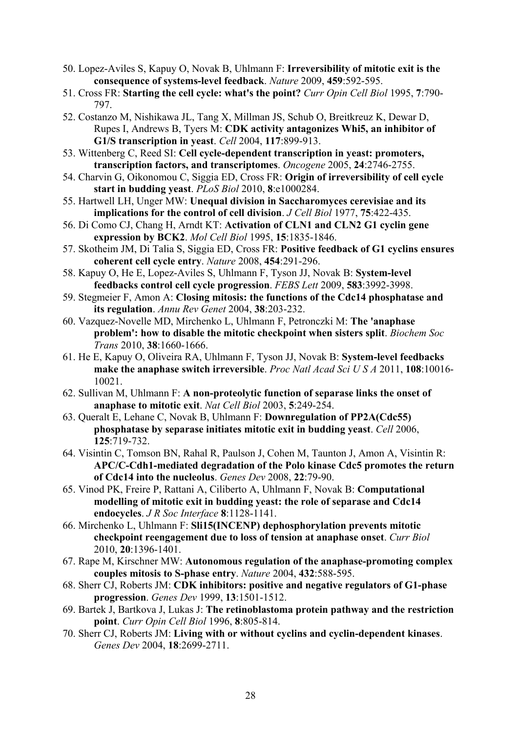- 50. Lopez-Aviles S, Kapuy O, Novak B, Uhlmann F: **Irreversibility of mitotic exit is the consequence of systems-level feedback**. *Nature* 2009, **459**:592-595.
- 51. Cross FR: **Starting the cell cycle: what's the point?** *Curr Opin Cell Biol* 1995, **7**:790- 797.
- 52. Costanzo M, Nishikawa JL, Tang X, Millman JS, Schub O, Breitkreuz K, Dewar D, Rupes I, Andrews B, Tyers M: **CDK activity antagonizes Whi5, an inhibitor of G1/S transcription in yeast**. *Cell* 2004, **117**:899-913.
- 53. Wittenberg C, Reed SI: **Cell cycle-dependent transcription in yeast: promoters, transcription factors, and transcriptomes**. *Oncogene* 2005, **24**:2746-2755.
- 54. Charvin G, Oikonomou C, Siggia ED, Cross FR: **Origin of irreversibility of cell cycle start in budding yeast**. *PLoS Biol* 2010, **8**:e1000284.
- 55. Hartwell LH, Unger MW: **Unequal division in Saccharomyces cerevisiae and its implications for the control of cell division**. *J Cell Biol* 1977, **75**:422-435.
- 56. Di Como CJ, Chang H, Arndt KT: **Activation of CLN1 and CLN2 G1 cyclin gene expression by BCK2**. *Mol Cell Biol* 1995, **15**:1835-1846.
- 57. Skotheim JM, Di Talia S, Siggia ED, Cross FR: **Positive feedback of G1 cyclins ensures coherent cell cycle entry**. *Nature* 2008, **454**:291-296.
- 58. Kapuy O, He E, Lopez-Aviles S, Uhlmann F, Tyson JJ, Novak B: **System-level feedbacks control cell cycle progression**. *FEBS Lett* 2009, **583**:3992-3998.
- 59. Stegmeier F, Amon A: **Closing mitosis: the functions of the Cdc14 phosphatase and its regulation**. *Annu Rev Genet* 2004, **38**:203-232.
- 60. Vazquez-Novelle MD, Mirchenko L, Uhlmann F, Petronczki M: **The 'anaphase problem': how to disable the mitotic checkpoint when sisters split**. *Biochem Soc Trans* 2010, **38**:1660-1666.
- 61. He E, Kapuy O, Oliveira RA, Uhlmann F, Tyson JJ, Novak B: **System-level feedbacks make the anaphase switch irreversible**. *Proc Natl Acad Sci U S A* 2011, **108**:10016- 10021.
- 62. Sullivan M, Uhlmann F: **A non-proteolytic function of separase links the onset of anaphase to mitotic exit**. *Nat Cell Biol* 2003, **5**:249-254.
- 63. Queralt E, Lehane C, Novak B, Uhlmann F: **Downregulation of PP2A(Cdc55) phosphatase by separase initiates mitotic exit in budding yeast**. *Cell* 2006, **125**:719-732.
- 64. Visintin C, Tomson BN, Rahal R, Paulson J, Cohen M, Taunton J, Amon A, Visintin R: **APC/C-Cdh1-mediated degradation of the Polo kinase Cdc5 promotes the return of Cdc14 into the nucleolus**. *Genes Dev* 2008, **22**:79-90.
- 65. Vinod PK, Freire P, Rattani A, Ciliberto A, Uhlmann F, Novak B: **Computational modelling of mitotic exit in budding yeast: the role of separase and Cdc14 endocycles**. *J R Soc Interface* **8**:1128-1141.
- 66. Mirchenko L, Uhlmann F: **Sli15(INCENP) dephosphorylation prevents mitotic checkpoint reengagement due to loss of tension at anaphase onset**. *Curr Biol*  2010, **20**:1396-1401.
- 67. Rape M, Kirschner MW: **Autonomous regulation of the anaphase-promoting complex couples mitosis to S-phase entry**. *Nature* 2004, **432**:588-595.
- 68. Sherr CJ, Roberts JM: **CDK inhibitors: positive and negative regulators of G1-phase progression**. *Genes Dev* 1999, **13**:1501-1512.
- 69. Bartek J, Bartkova J, Lukas J: **The retinoblastoma protein pathway and the restriction point**. *Curr Opin Cell Biol* 1996, **8**:805-814.
- 70. Sherr CJ, Roberts JM: **Living with or without cyclins and cyclin-dependent kinases**. *Genes Dev* 2004, **18**:2699-2711.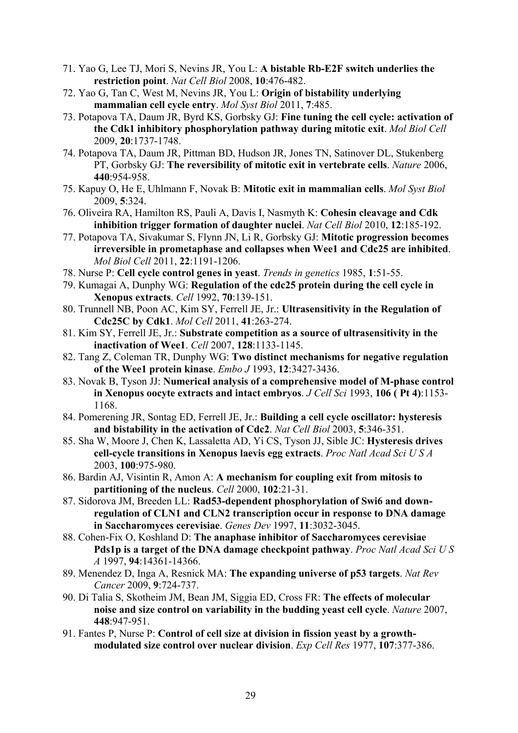- 71. Yao G, Lee TJ, Mori S, Nevins JR, You L: **A bistable Rb-E2F switch underlies the restriction point**. *Nat Cell Biol* 2008, **10**:476-482.
- 72. Yao G, Tan C, West M, Nevins JR, You L: **Origin of bistability underlying mammalian cell cycle entry**. *Mol Syst Biol* 2011, **7**:485.
- 73. Potapova TA, Daum JR, Byrd KS, Gorbsky GJ: **Fine tuning the cell cycle: activation of the Cdk1 inhibitory phosphorylation pathway during mitotic exit**. *Mol Biol Cell*  2009, **20**:1737-1748.
- 74. Potapova TA, Daum JR, Pittman BD, Hudson JR, Jones TN, Satinover DL, Stukenberg PT, Gorbsky GJ: **The reversibility of mitotic exit in vertebrate cells**. *Nature* 2006, **440**:954-958.
- 75. Kapuy O, He E, Uhlmann F, Novak B: **Mitotic exit in mammalian cells**. *Mol Syst Biol*  2009, **5**:324.
- 76. Oliveira RA, Hamilton RS, Pauli A, Davis I, Nasmyth K: **Cohesin cleavage and Cdk inhibition trigger formation of daughter nuclei**. *Nat Cell Biol* 2010, **12**:185-192.
- 77. Potapova TA, Sivakumar S, Flynn JN, Li R, Gorbsky GJ: **Mitotic progression becomes irreversible in prometaphase and collapses when Wee1 and Cdc25 are inhibited**. *Mol Biol Cell* 2011, **22**:1191-1206.
- 78. Nurse P: **Cell cycle control genes in yeast**. *Trends in genetics* 1985, **1**:51-55.
- 79. Kumagai A, Dunphy WG: **Regulation of the cdc25 protein during the cell cycle in Xenopus extracts**. *Cell* 1992, **70**:139-151.
- 80. Trunnell NB, Poon AC, Kim SY, Ferrell JE, Jr.: **Ultrasensitivity in the Regulation of Cdc25C by Cdk1**. *Mol Cell* 2011, **41**:263-274.
- 81. Kim SY, Ferrell JE, Jr.: **Substrate competition as a source of ultrasensitivity in the inactivation of Wee1**. *Cell* 2007, **128**:1133-1145.
- 82. Tang Z, Coleman TR, Dunphy WG: **Two distinct mechanisms for negative regulation of the Wee1 protein kinase**. *Embo J* 1993, **12**:3427-3436.
- 83. Novak B, Tyson JJ: **Numerical analysis of a comprehensive model of M-phase control in Xenopus oocyte extracts and intact embryos**. *J Cell Sci* 1993, **106 ( Pt 4)**:1153- 1168.
- 84. Pomerening JR, Sontag ED, Ferrell JE, Jr.: **Building a cell cycle oscillator: hysteresis and bistability in the activation of Cdc2**. *Nat Cell Biol* 2003, **5**:346-351.
- 85. Sha W, Moore J, Chen K, Lassaletta AD, Yi CS, Tyson JJ, Sible JC: **Hysteresis drives cell-cycle transitions in Xenopus laevis egg extracts**. *Proc Natl Acad Sci U S A*  2003, **100**:975-980.
- 86. Bardin AJ, Visintin R, Amon A: **A mechanism for coupling exit from mitosis to partitioning of the nucleus**. *Cell* 2000, **102**:21-31.
- 87. Sidorova JM, Breeden LL: **Rad53-dependent phosphorylation of Swi6 and downregulation of CLN1 and CLN2 transcription occur in response to DNA damage in Saccharomyces cerevisiae**. *Genes Dev* 1997, **11**:3032-3045.
- 88. Cohen-Fix O, Koshland D: **The anaphase inhibitor of Saccharomyces cerevisiae Pds1p is a target of the DNA damage checkpoint pathway**. *Proc Natl Acad Sci U S A* 1997, **94**:14361-14366.
- 89. Menendez D, Inga A, Resnick MA: **The expanding universe of p53 targets**. *Nat Rev Cancer* 2009, **9**:724-737.
- 90. Di Talia S, Skotheim JM, Bean JM, Siggia ED, Cross FR: **The effects of molecular noise and size control on variability in the budding yeast cell cycle**. *Nature* 2007, **448**:947-951.
- 91. Fantes P, Nurse P: **Control of cell size at division in fission yeast by a growthmodulated size control over nuclear division**. *Exp Cell Res* 1977, **107**:377-386.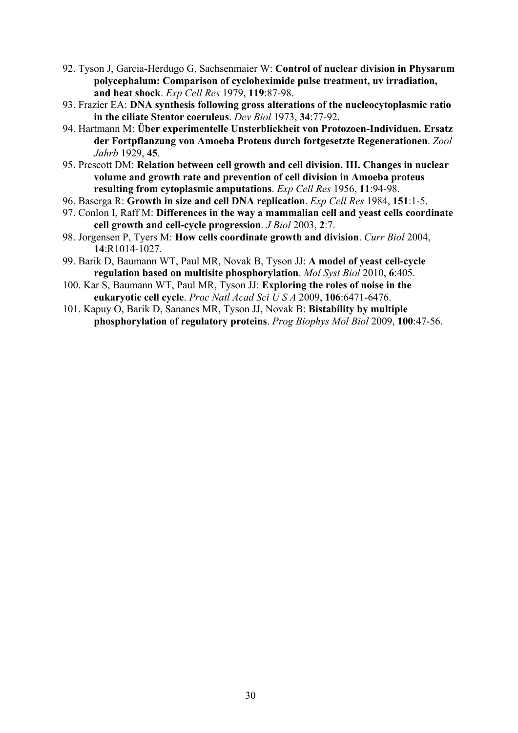- 92. Tyson J, Garcia-Herdugo G, Sachsenmaier W: **Control of nuclear division in Physarum polycephalum: Comparison of cycloheximide pulse treatment, uv irradiation, and heat shock**. *Exp Cell Res* 1979, **119**:87-98.
- 93. Frazier EA: **DNA synthesis following gross alterations of the nucleocytoplasmic ratio in the ciliate Stentor coeruleus**. *Dev Biol* 1973, **34**:77-92.
- 94. Hartmann M: **Über experimentelle Unsterblickheit von Protozoen-Individuen. Ersatz der Fortpflanzung von Amoeba Proteus durch fortgesetzte Regenerationen**. *Zool Jahrb* 1929, **45**.
- 95. Prescott DM: **Relation between cell growth and cell division. III. Changes in nuclear volume and growth rate and prevention of cell division in Amoeba proteus resulting from cytoplasmic amputations**. *Exp Cell Res* 1956, **11**:94-98.
- 96. Baserga R: **Growth in size and cell DNA replication**. *Exp Cell Res* 1984, **151**:1-5.
- 97. Conlon I, Raff M: **Differences in the way a mammalian cell and yeast cells coordinate cell growth and cell-cycle progression**. *J Biol* 2003, **2**:7.
- 98. Jorgensen P, Tyers M: **How cells coordinate growth and division**. *Curr Biol* 2004, **14**:R1014-1027.
- 99. Barik D, Baumann WT, Paul MR, Novak B, Tyson JJ: **A model of yeast cell-cycle regulation based on multisite phosphorylation**. *Mol Syst Biol* 2010, **6**:405.
- 100. Kar S, Baumann WT, Paul MR, Tyson JJ: **Exploring the roles of noise in the eukaryotic cell cycle**. *Proc Natl Acad Sci U S A* 2009, **106**:6471-6476.
- 101. Kapuy O, Barik D, Sananes MR, Tyson JJ, Novak B: **Bistability by multiple phosphorylation of regulatory proteins**. *Prog Biophys Mol Biol* 2009, **100**:47-56.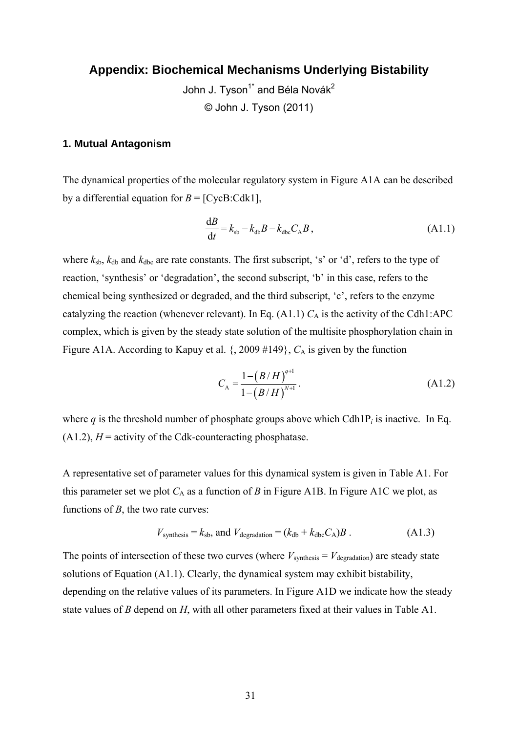### **Appendix: Biochemical Mechanisms Underlying Bistability**

John J. Tyson<sup>1\*</sup> and Béla Novák<sup>2</sup> © John J. Tyson (2011)

### **1. Mutual Antagonism**

The dynamical properties of the molecular regulatory system in Figure A1A can be described by a differential equation for  $B = [CycB:Cdk1]$ ,

$$
\frac{\mathrm{d}B}{\mathrm{d}t} = k_{\mathrm{sb}} - k_{\mathrm{db}}B - k_{\mathrm{dbc}}C_{\mathrm{A}}B\,,\tag{A1.1}
$$

where  $k_{sb}$ ,  $k_{db}$  and  $k_{dbc}$  are rate constants. The first subscript, 's' or 'd', refers to the type of reaction, 'synthesis' or 'degradation', the second subscript, 'b' in this case, refers to the chemical being synthesized or degraded, and the third subscript, 'c', refers to the enzyme catalyzing the reaction (whenever relevant). In Eq. (A1.1)  $C_A$  is the activity of the Cdh1:APC complex, which is given by the steady state solution of the multisite phosphorylation chain in Figure A1A. According to Kapuy et al.  $\{2009\#149\}$ ,  $C_A$  is given by the function

$$
C_{\rm A} = \frac{1 - (B/H)^{q+1}}{1 - (B/H)^{N+1}}.
$$
\n(A1.2)

where *q* is the threshold number of phosphate groups above which  $Cdh1P_i$  is inactive. In Eq.  $(A1.2)$ ,  $H =$  activity of the Cdk-counteracting phosphatase.

A representative set of parameter values for this dynamical system is given in Table A1. For this parameter set we plot  $C_A$  as a function of *B* in Figure A1B. In Figure A1C we plot, as functions of  $B$ , the two rate curves:

$$
V_{\text{synthesis}} = k_{\text{sb}}, \text{ and } V_{\text{degradation}} = (k_{\text{db}} + k_{\text{dbc}} C_{\text{A}})B \tag{A1.3}
$$

The points of intersection of these two curves (where  $V_{\text{synthesis}} = V_{\text{degradation}}$ ) are steady state solutions of Equation  $(A1.1)$ . Clearly, the dynamical system may exhibit bistability, depending on the relative values of its parameters. In Figure A1D we indicate how the steady state values of *B* depend on *H*, with all other parameters fixed at their values in Table A1.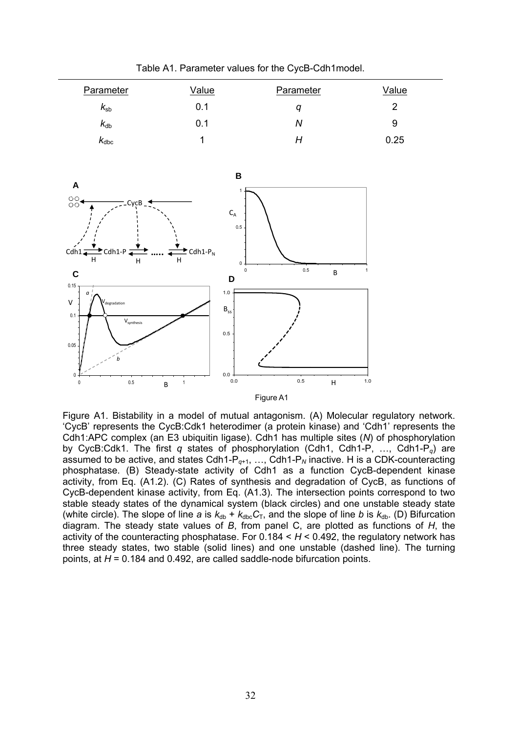

Table A1. Parameter values for the CycB-Cdh1model.

Figure A1. Bistability in a model of mutual antagonism. (A) Molecular regulatory network. 'CycB' represents the CycB:Cdk1 heterodimer (a protein kinase) and 'Cdh1' represents the Cdh1:APC complex (an E3 ubiquitin ligase). Cdh1 has multiple sites (*N*) of phosphorylation by CycB:Cdk1. The first *q* states of phosphorylation (Cdh1, Cdh1-P, …, Cdh1-P*q*) are assumed to be active, and states Cdh1- $P_{q+1}$ , ..., Cdh1- $P_N$  inactive. H is a CDK-counteracting phosphatase. (B) Steady-state activity of Cdh1 as a function CycB-dependent kinase activity, from Eq. (A1.2). (C) Rates of synthesis and degradation of CycB, as functions of CycB-dependent kinase activity, from Eq. (A1.3). The intersection points correspond to two stable steady states of the dynamical system (black circles) and one unstable steady state (white circle). The slope of line *a* is  $k_{db} + k_{dbc}C_T$ , and the slope of line *b* is  $k_{db}$ . (D) Bifurcation diagram. The steady state values of *B*, from panel C, are plotted as functions of *H*, the activity of the counteracting phosphatase. For 0.184 < *H* < 0.492, the regulatory network has three steady states, two stable (solid lines) and one unstable (dashed line). The turning points, at *H* = 0.184 and 0.492, are called saddle-node bifurcation points.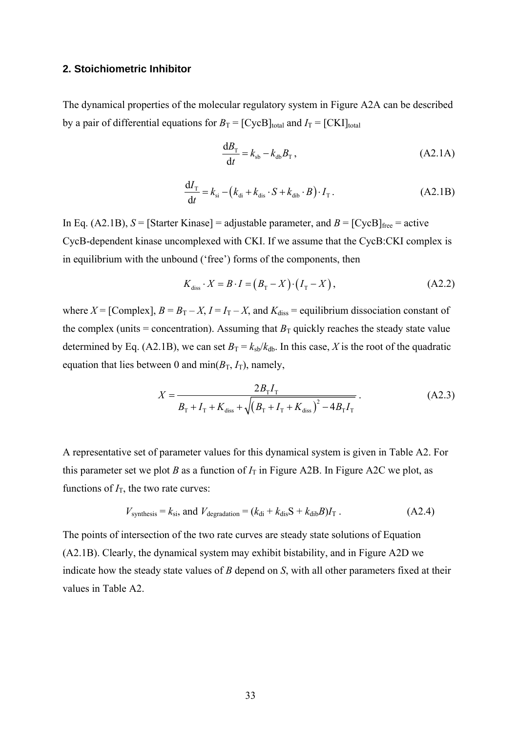#### **2. Stoichiometric Inhibitor**

The dynamical properties of the molecular regulatory system in Figure A2A can be described by a pair of differential equations for  $B_T = [CycB]_{total}$  and  $I_T = [CKI]_{total}$ 

$$
\frac{\mathrm{d}B_{\mathrm{T}}}{\mathrm{d}t} = k_{\mathrm{sb}} - k_{\mathrm{db}}B_{\mathrm{T}}\,,\tag{A2.1A}
$$

$$
\frac{\mathrm{d}I_{\mathrm{T}}}{\mathrm{d}t} = k_{\mathrm{si}} - \left(k_{\mathrm{di}} + k_{\mathrm{dis}} \cdot S + k_{\mathrm{dib}} \cdot B\right) \cdot I_{\mathrm{T}}.\tag{A2.1B}
$$

In Eq. (A2.1B),  $S =$  [Starter Kinase] = adjustable parameter, and  $B =$  [CycB]<sub>free</sub> = active CycB-dependent kinase uncomplexed with CKI. If we assume that the CycB:CKI complex is in equilibrium with the unbound ('free') forms of the components, then

$$
K_{\text{diss}} \cdot X = B \cdot I = (B_{\text{T}} - X) \cdot (I_{\text{T}} - X), \tag{A2.2}
$$

where  $X =$  [Complex],  $B = B_T - X$ ,  $I = I_T - X$ , and  $K_{diss} =$  equilibrium dissociation constant of the complex (units = concentration). Assuming that  $B_T$  quickly reaches the steady state value determined by Eq. (A2.1B), we can set  $B_T = k_{sb}/k_{db}$ . In this case, *X* is the root of the quadratic equation that lies between 0 and min $(B_T, I_T)$ , namely,

$$
X = \frac{2B_{\rm T}I_{\rm T}}{B_{\rm T} + I_{\rm T} + K_{\rm diss} + \sqrt{\left(B_{\rm T} + I_{\rm T} + K_{\rm diss}\right)^2 - 4B_{\rm T}I_{\rm T}}}.
$$
(A2.3)

A representative set of parameter values for this dynamical system is given in Table A2. For this parameter set we plot *B* as a function of  $I_T$  in Figure A2B. In Figure A2C we plot, as functions of  $I<sub>T</sub>$ , the two rate curves:

$$
V_{\text{synthesis}} = k_{\text{si}}, \text{ and } V_{\text{degradation}} = (k_{\text{di}} + k_{\text{dis}}S + k_{\text{dib}}B)I_{\text{T}}. \tag{A2.4}
$$

The points of intersection of the two rate curves are steady state solutions of Equation (A2.1B). Clearly, the dynamical system may exhibit bistability, and in Figure A2D we indicate how the steady state values of *B* depend on *S*, with all other parameters fixed at their values in Table A2.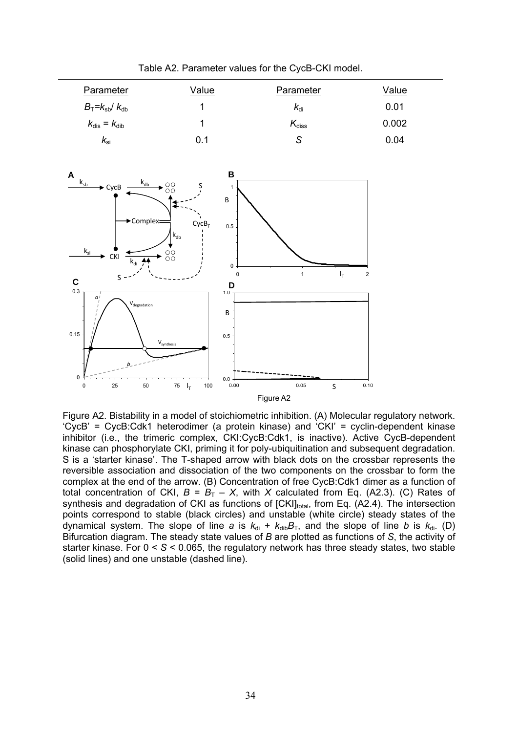

Table A2. Parameter values for the CycB-CKI model.

Figure A2. Bistability in a model of stoichiometric inhibition. (A) Molecular regulatory network. 'CycB' = CycB:Cdk1 heterodimer (a protein kinase) and 'CKI' = cyclin-dependent kinase inhibitor (i.e., the trimeric complex, CKI:CycB:Cdk1, is inactive). Active CycB-dependent kinase can phosphorylate CKI, priming it for poly-ubiquitination and subsequent degradation. S is a 'starter kinase'. The T-shaped arrow with black dots on the crossbar represents the reversible association and dissociation of the two components on the crossbar to form the complex at the end of the arrow. (B) Concentration of free CycB:Cdk1 dimer as a function of total concentration of CKI,  $B = B_T - X$ , with X calculated from Eq. (A2.3). (C) Rates of synthesis and degradation of CKI as functions of [CKI]<sub>total</sub>, from Eq. (A2.4). The intersection points correspond to stable (black circles) and unstable (white circle) steady states of the dynamical system. The slope of line *a* is  $k_{di} + k_{di}B_T$ , and the slope of line *b* is  $k_{di}$ . (D) Bifurcation diagram. The steady state values of *B* are plotted as functions of *S*, the activity of starter kinase. For 0 < *S* < 0.065, the regulatory network has three steady states, two stable (solid lines) and one unstable (dashed line).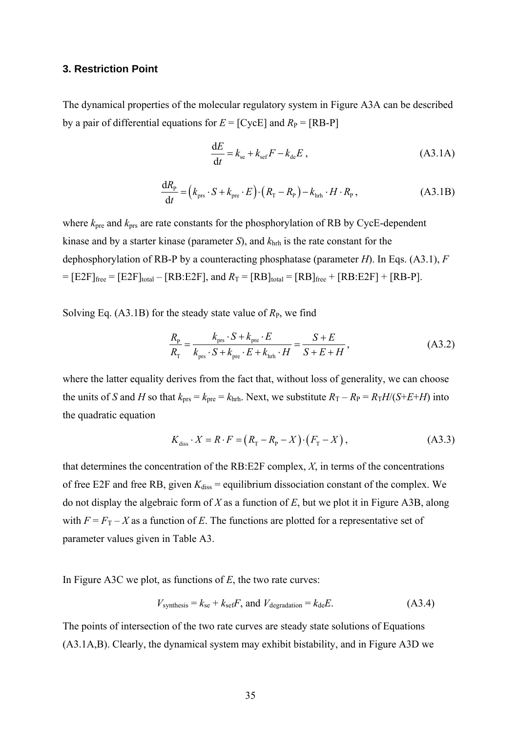#### **3. Restriction Point**

The dynamical properties of the molecular regulatory system in Figure A3A can be described by a pair of differential equations for  $E = [CycE]$  and  $R_P = [RB-P]$ 

$$
\frac{dE}{dt} = k_{\rm se} + k_{\rm sef} F - k_{\rm de} E , \qquad (A3.1A)
$$

$$
\frac{dR_{\rm p}}{dt} = (k_{\rm prs} \cdot S + k_{\rm pre} \cdot E) \cdot (R_{\rm T} - R_{\rm p}) - k_{\rm hrh} \cdot H \cdot R_{\rm p},\tag{A3.1B}
$$

where  $k_{\text{pre}}$  and  $k_{\text{pre}}$  are rate constants for the phosphorylation of RB by CycE-dependent kinase and by a starter kinase (parameter *S*), and *k*hrh is the rate constant for the dephosphorylation of RB-P by a counteracting phosphatase (parameter *H*). In Eqs. (A3.1), *F*  $=[E2F]_{\text{free}} = [E2F]_{\text{total}} - [RB:E2F]$ , and  $R_T = [RB]_{\text{total}} = [RB]_{\text{free}} + [RB:E2F] + [RB-P]$ .

Solving Eq.  $(A3.1B)$  for the steady state value of  $R<sub>P</sub>$ , we find

$$
\frac{R_{\rm p}}{R_{\rm T}} = \frac{k_{\rm ps} \cdot S + k_{\rm pre} \cdot E}{k_{\rm ps} \cdot S + k_{\rm pre} \cdot E + k_{\rm hrh} \cdot H} = \frac{S + E}{S + E + H},
$$
(A3.2)

where the latter equality derives from the fact that, without loss of generality, we can choose the units of *S* and *H* so that  $k_{\text{prs}} = k_{\text{br}} = k_{\text{hr}}$ . Next, we substitute  $R_{\text{T}} - R_{\text{P}} = R_{\text{T}}H/(S+E+H)$  into the quadratic equation

$$
K_{\text{diss}} \cdot X = R \cdot F = (R_{\text{T}} - R_{\text{P}} - X) \cdot (F_{\text{T}} - X), \tag{A3.3}
$$

that determines the concentration of the RB:E2F complex, *X*, in terms of the concentrations of free E2F and free RB, given  $K_{\text{diss}}$  = equilibrium dissociation constant of the complex. We do not display the algebraic form of *X* as a function of *E*, but we plot it in Figure A3B, along with  $F = F<sub>T</sub> - X$  as a function of *E*. The functions are plotted for a representative set of parameter values given in Table A3.

In Figure A3C we plot, as functions of *E*, the two rate curves:

$$
V_{\text{synthesis}} = k_{\text{se}} + k_{\text{sef}} F, \text{ and } V_{\text{degradation}} = k_{\text{de}} E. \tag{A3.4}
$$

The points of intersection of the two rate curves are steady state solutions of Equations (A3.1A,B). Clearly, the dynamical system may exhibit bistability, and in Figure A3D we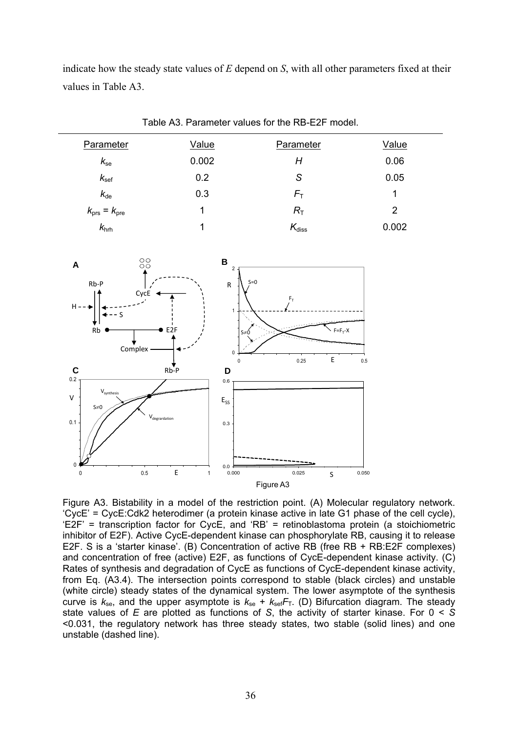indicate how the steady state values of *E* depend on *S*, with all other parameters fixed at their values in Table A3.

| Table A3. Parameter values for the RB-E2F model. |              |                               |              |
|--------------------------------------------------|--------------|-------------------------------|--------------|
| Parameter                                        | <b>Value</b> | Parameter                     | <b>Value</b> |
| $k_{\rm se}$                                     | 0.002        | Н                             | 0.06         |
| $k_{\rm{sef}}$                                   | 0.2          | S                             | 0.05         |
| $k_{\text{de}}$                                  | 0.3          | $\mathsf{F}_\mathsf{T}$       | 1            |
| $k_{\text{prs}} = k_{\text{pre}}$                |              | $R_{\rm T}$                   | 2            |
| $k_{\rm hrh}$                                    |              | $\mathcal{K}_{\mathrm{diss}}$ | 0.002        |



Figure A3. Bistability in a model of the restriction point. (A) Molecular regulatory network. 'CycE' = CycE:Cdk2 heterodimer (a protein kinase active in late G1 phase of the cell cycle), 'E2F' = transcription factor for CycE, and 'RB' = retinoblastoma protein (a stoichiometric inhibitor of E2F). Active CycE-dependent kinase can phosphorylate RB, causing it to release E2F. S is a 'starter kinase'. (B) Concentration of active RB (free RB + RB:E2F complexes) and concentration of free (active) E2F, as functions of CycE-dependent kinase activity. (C) Rates of synthesis and degradation of CycE as functions of CycE-dependent kinase activity, from Eq. (A3.4). The intersection points correspond to stable (black circles) and unstable (white circle) steady states of the dynamical system. The lower asymptote of the synthesis curve is  $k_{se}$ , and the upper asymptote is  $k_{se} + k_{sef}F$ <sub>T</sub>. (D) Bifurcation diagram. The steady state values of *E* are plotted as functions of *S*, the activity of starter kinase. For 0 < *S* <0.031, the regulatory network has three steady states, two stable (solid lines) and one unstable (dashed line).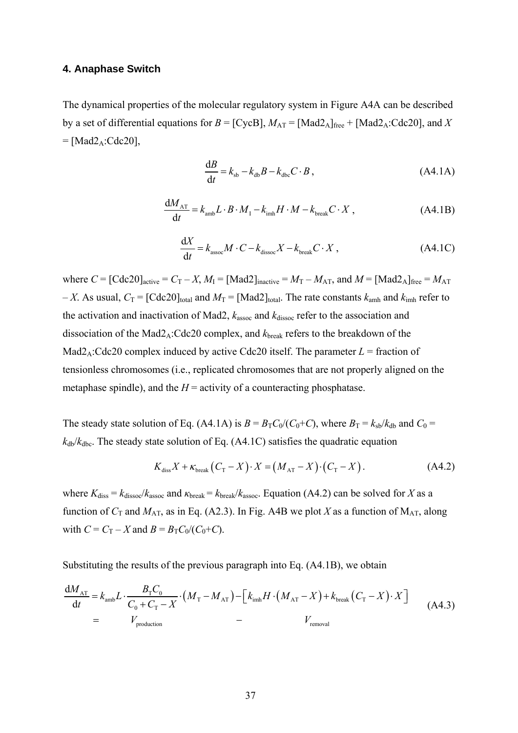#### **4. Anaphase Switch**

The dynamical properties of the molecular regulatory system in Figure A4A can be described by a set of differential equations for  $B =$  [CycB],  $M_{AT}$  = [Mad2<sub>A</sub>]<sub>free</sub> + [Mad2<sub>A</sub>:Cdc20], and *X*  $=$  [Mad2<sub>A</sub>:Cdc20],

$$
\frac{\mathrm{d}B}{\mathrm{d}t} = k_{\mathrm{sb}} - k_{\mathrm{db}}B - k_{\mathrm{dbc}}C \cdot B\,,\tag{A4.1A}
$$

$$
\frac{dM_{AT}}{dt} = k_{amb}L \cdot B \cdot M_1 - k_{imh}H \cdot M - k_{break}C \cdot X ,
$$
 (A4.1B)

$$
\frac{dX}{dt} = k_{\text{assoc}} M \cdot C - k_{\text{dissoc}} X - k_{\text{break}} C \cdot X \,, \tag{A4.1C}
$$

where  $C = [Cdc20]_{\text{active}} = C_T - X$ ,  $M_I = [Mad2]_{\text{inactive}} = M_T - M_{\text{AT}}$ , and  $M = [Mad2_A]_{\text{free}} = M_{\text{AT}}$  $-X$ . As usual,  $C_T = [Cdc20]_{total}$  and  $M_T = [Mad2]_{total}$ . The rate constants  $k_{amb}$  and  $k_{imb}$  refer to the activation and inactivation of Mad2, *k*assoc and *k*dissoc refer to the association and dissociation of the Mad2<sub>A</sub>:Cdc20 complex, and  $k_{break}$  refers to the breakdown of the Mad2<sub>A</sub>:Cdc20 complex induced by active Cdc20 itself. The parameter  $L =$  fraction of tensionless chromosomes (i.e., replicated chromosomes that are not properly aligned on the metaphase spindle), and the  $H =$  activity of a counteracting phosphatase.

The steady state solution of Eq. (A4.1A) is  $B = B<sub>T</sub>C<sub>0</sub>/(C<sub>0</sub>+C)$ , where  $B<sub>T</sub> = k<sub>sb</sub>/k<sub>db</sub>$  and  $C<sub>0</sub> =$  $k_{\text{db}}/k_{\text{dbc}}$ . The steady state solution of Eq. (A4.1C) satisfies the quadratic equation

$$
K_{\text{diss}}X + \kappa_{\text{break}}(C_{\text{T}} - X) \cdot X = (M_{\text{AT}} - X) \cdot (C_{\text{T}} - X). \tag{A4.2}
$$

where  $K_{\text{diss}} = k_{\text{dissoc}}/k_{\text{assoc}}$  and  $\kappa_{\text{break}} = k_{\text{break}}/k_{\text{assoc}}$ . Equation (A4.2) can be solved for *X* as a function of  $C_T$  and  $M_{AT}$ , as in Eq. (A2.3). In Fig. A4B we plot *X* as a function of  $M_{AT}$ , along with  $C = C_T - X$  and  $B = B_T C_0 / (C_0 + C)$ .

Substituting the results of the previous paragraph into Eq. (A4.1B), we obtain

$$
\frac{dM_{AT}}{dt} = k_{amb}L \cdot \frac{B_{T}C_{0}}{C_{0} + C_{T} - X} \cdot (M_{T} - M_{AT}) - [k_{imh}H \cdot (M_{AT} - X) + k_{break} (C_{T} - X) \cdot X]
$$
\n
$$
= V_{\text{production}} \qquad - V_{\text{removal}}
$$
\n(A4.3)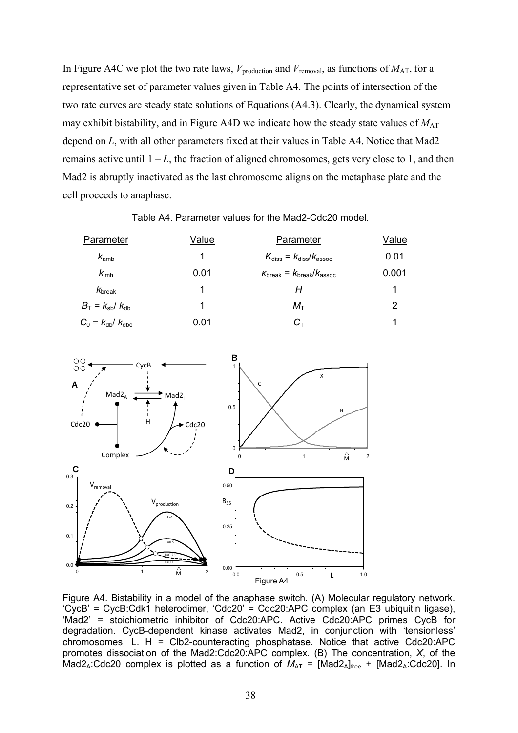In Figure A4C we plot the two rate laws,  $V_{\text{production}}$  and  $V_{\text{removal}}$ , as functions of  $M_{\text{AT}}$ , for a representative set of parameter values given in Table A4. The points of intersection of the two rate curves are steady state solutions of Equations (A4.3). Clearly, the dynamical system may exhibit bistability, and in Figure A4D we indicate how the steady state values of  $M_{AT}$ depend on *L*, with all other parameters fixed at their values in Table A4. Notice that Mad2 remains active until  $1 - L$ , the fraction of aligned chromosomes, gets very close to 1, and then Mad2 is abruptly inactivated as the last chromosome aligns on the metaphase plate and the cell proceeds to anaphase.

| Parameter                | Value | Parameter                                              | Value |
|--------------------------|-------|--------------------------------------------------------|-------|
| $k_{\rm amb}$            | 1     | $K_{\text{diss}} = k_{\text{diss}}/k_{\text{assoc}}$   | 0.01  |
| $k_{\text{imh}}$         | 0.01  | $K_{\text{break}} = K_{\text{break}}/K_{\text{assoc}}$ | 0.001 |
| $k_{\text{break}}$       | 1     | Н                                                      |       |
| $B_T = k_{sb}/k_{db}$    | 1     | $M_{\text{T}}$                                         | 2     |
| $C_0 = k_{db} / k_{dbc}$ | 0.01  | $C_{\scriptscriptstyle\mathsf{T}}$                     |       |

Table A4. Parameter values for the Mad2-Cdc20 model.



Figure A4. Bistability in a model of the anaphase switch. (A) Molecular regulatory network. 'CycB' = CycB:Cdk1 heterodimer, 'Cdc20' = Cdc20:APC complex (an E3 ubiquitin ligase), 'Mad2' = stoichiometric inhibitor of Cdc20:APC. Active Cdc20:APC primes CycB for degradation. CycB-dependent kinase activates Mad2, in conjunction with 'tensionless' chromosomes, L.  $H = Clb2$ -counteracting phosphatase. Notice that active Cdc20:APC promotes dissociation of the Mad2:Cdc20:APC complex. (B) The concentration, *X*, of the Mad2<sub>A</sub>:Cdc20 complex is plotted as a function of  $M_{AT}$  = [Mad2<sub>A</sub>]<sub>free</sub> + [Mad2<sub>A</sub>:Cdc20]. In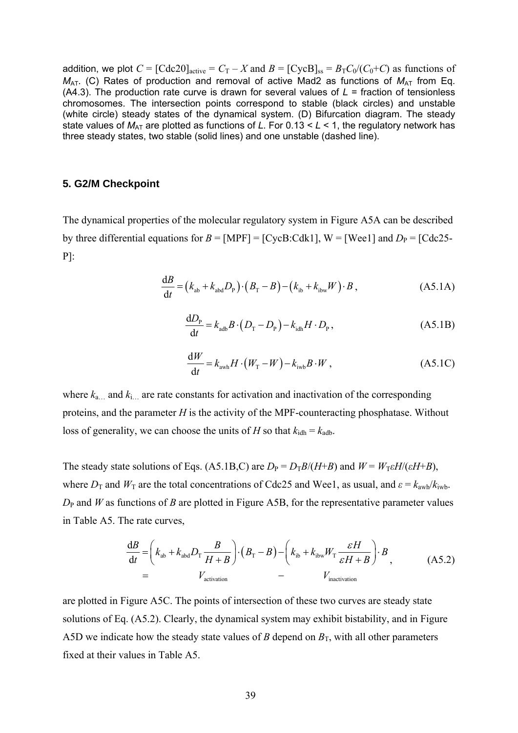addition, we plot  $C = [Cdc20]_{\text{active}} = C_T - X$  and  $B = [CycB]_{\text{ss}} = B_T C_0 / (C_0 + C)$  as functions of  $M_{AT}$ . (C) Rates of production and removal of active Mad2 as functions of  $M_{AT}$  from Eq. (A4.3). The production rate curve is drawn for several values of *L* = fraction of tensionless chromosomes. The intersection points correspond to stable (black circles) and unstable (white circle) steady states of the dynamical system. (D) Bifurcation diagram. The steady state values of  $M_{AT}$  are plotted as functions of *L*. For 0.13 < *L* < 1, the regulatory network has three steady states, two stable (solid lines) and one unstable (dashed line).

#### **5. G2/M Checkpoint**

The dynamical properties of the molecular regulatory system in Figure A5A can be described by three differential equations for  $B = [MPF] = [CycB:Cdk1]$ ,  $W = [Wee1]$  and  $D_P = [Cdc25-Fmc4]$ P]:

$$
\frac{\mathrm{d}B}{\mathrm{d}t} = \left(k_{\mathrm{ab}} + k_{\mathrm{abd}}D_{\mathrm{P}}\right) \cdot \left(B_{\mathrm{T}} - B\right) - \left(k_{\mathrm{ib}} + k_{\mathrm{ibw}}W\right) \cdot B\,,\tag{A5.1A}
$$

$$
\frac{\mathrm{d}D_{\mathrm{P}}}{\mathrm{d}t} = k_{\mathrm{adb}} B \cdot (D_{\mathrm{T}} - D_{\mathrm{P}}) - k_{\mathrm{idh}} H \cdot D_{\mathrm{P}}\,,\tag{A5.1B}
$$

$$
\frac{\mathrm{d}W}{\mathrm{d}t} = k_{\mathrm{avh}} H \cdot (W_{\mathrm{T}} - W) - k_{\mathrm{ivb}} B \cdot W , \qquad (A5.1C)
$$

where  $k_a$  and  $k_i$  are rate constants for activation and inactivation of the corresponding proteins, and the parameter *H* is the activity of the MPF-counteracting phosphatase. Without loss of generality, we can choose the units of *H* so that  $k_{\text{idh}} = k_{\text{adb}}$ .

The steady state solutions of Eqs. (A5.1B,C) are  $D_P = D_T B/(H+B)$  and  $W = W_T \varepsilon H/(\varepsilon H+B)$ , where  $D_T$  and  $W_T$  are the total concentrations of Cdc25 and Wee1, as usual, and  $\varepsilon = k_{\text{awh}}/k_{\text{iwh}}$ .  $D_{P}$  and *W* as functions of *B* are plotted in Figure A5B, for the representative parameter values in Table A5. The rate curves,

$$
\frac{dB}{dt} = \left(k_{ab} + k_{abd}D_{T}\frac{B}{H+B}\right)\cdot\left(B_{T}-B\right) - \left(k_{ib} + k_{ibw}W_{T}\frac{\varepsilon H}{\varepsilon H+B}\right)\cdot B
$$
\n
$$
= V_{\text{activation}} \qquad - \qquad V_{\text{inactivation}} \qquad (A5.2)
$$

are plotted in Figure A5C. The points of intersection of these two curves are steady state solutions of Eq. (A5.2). Clearly, the dynamical system may exhibit bistability, and in Figure A5D we indicate how the steady state values of *B* depend on  $B_T$ , with all other parameters fixed at their values in Table A5.